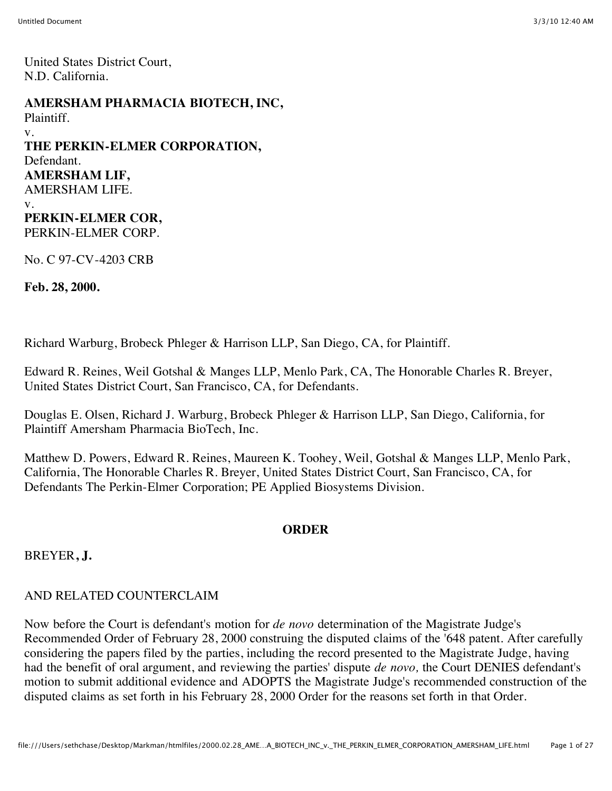United States District Court, N.D. California.

### **AMERSHAM PHARMACIA BIOTECH, INC,**

Plaintiff.

v.

**THE PERKIN-ELMER CORPORATION,** Defendant. **AMERSHAM LIF,** AMERSHAM LIFE. v. **PERKIN-ELMER COR,** PERKIN-ELMER CORP.

No. C 97-CV-4203 CRB

**Feb. 28, 2000.**

Richard Warburg, Brobeck Phleger & Harrison LLP, San Diego, CA, for Plaintiff.

Edward R. Reines, Weil Gotshal & Manges LLP, Menlo Park, CA, The Honorable Charles R. Breyer, United States District Court, San Francisco, CA, for Defendants.

Douglas E. Olsen, Richard J. Warburg, Brobeck Phleger & Harrison LLP, San Diego, California, for Plaintiff Amersham Pharmacia BioTech, Inc.

Matthew D. Powers, Edward R. Reines, Maureen K. Toohey, Weil, Gotshal & Manges LLP, Menlo Park, California, The Honorable Charles R. Breyer, United States District Court, San Francisco, CA, for Defendants The Perkin-Elmer Corporation; PE Applied Biosystems Division.

# **ORDER**

BREYER**, J.**

# AND RELATED COUNTERCLAIM

Now before the Court is defendant's motion for *de novo* determination of the Magistrate Judge's Recommended Order of February 28, 2000 construing the disputed claims of the '648 patent. After carefully considering the papers filed by the parties, including the record presented to the Magistrate Judge, having had the benefit of oral argument, and reviewing the parties' dispute *de novo,* the Court DENIES defendant's motion to submit additional evidence and ADOPTS the Magistrate Judge's recommended construction of the disputed claims as set forth in his February 28, 2000 Order for the reasons set forth in that Order.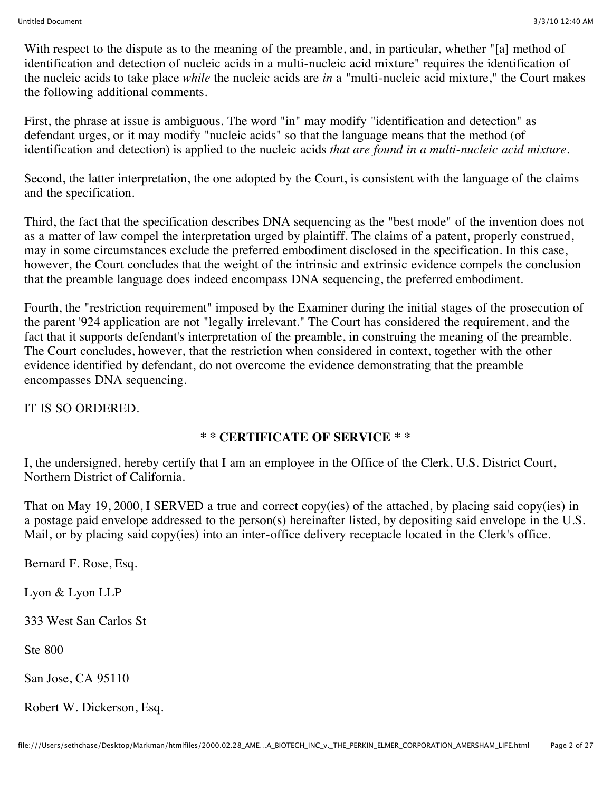With respect to the dispute as to the meaning of the preamble, and, in particular, whether "[a] method of identification and detection of nucleic acids in a multi-nucleic acid mixture" requires the identification of the nucleic acids to take place *while* the nucleic acids are *in* a "multi-nucleic acid mixture," the Court makes the following additional comments.

First, the phrase at issue is ambiguous. The word "in" may modify "identification and detection" as defendant urges, or it may modify "nucleic acids" so that the language means that the method (of identification and detection) is applied to the nucleic acids *that are found in a multi-nucleic acid mixture.*

Second, the latter interpretation, the one adopted by the Court, is consistent with the language of the claims and the specification.

Third, the fact that the specification describes DNA sequencing as the "best mode" of the invention does not as a matter of law compel the interpretation urged by plaintiff. The claims of a patent, properly construed, may in some circumstances exclude the preferred embodiment disclosed in the specification. In this case, however, the Court concludes that the weight of the intrinsic and extrinsic evidence compels the conclusion that the preamble language does indeed encompass DNA sequencing, the preferred embodiment.

Fourth, the "restriction requirement" imposed by the Examiner during the initial stages of the prosecution of the parent '924 application are not "legally irrelevant." The Court has considered the requirement, and the fact that it supports defendant's interpretation of the preamble, in construing the meaning of the preamble. The Court concludes, however, that the restriction when considered in context, together with the other evidence identified by defendant, do not overcome the evidence demonstrating that the preamble encompasses DNA sequencing.

IT IS SO ORDERED.

# **\* \* CERTIFICATE OF SERVICE \* \***

I, the undersigned, hereby certify that I am an employee in the Office of the Clerk, U.S. District Court, Northern District of California.

That on May 19, 2000, I SERVED a true and correct copy(ies) of the attached, by placing said copy(ies) in a postage paid envelope addressed to the person(s) hereinafter listed, by depositing said envelope in the U.S. Mail, or by placing said copy(ies) into an inter-office delivery receptacle located in the Clerk's office.

Bernard F. Rose, Esq.

Lyon & Lyon LLP

333 West San Carlos St

Ste 800

San Jose, CA 95110

Robert W. Dickerson, Esq.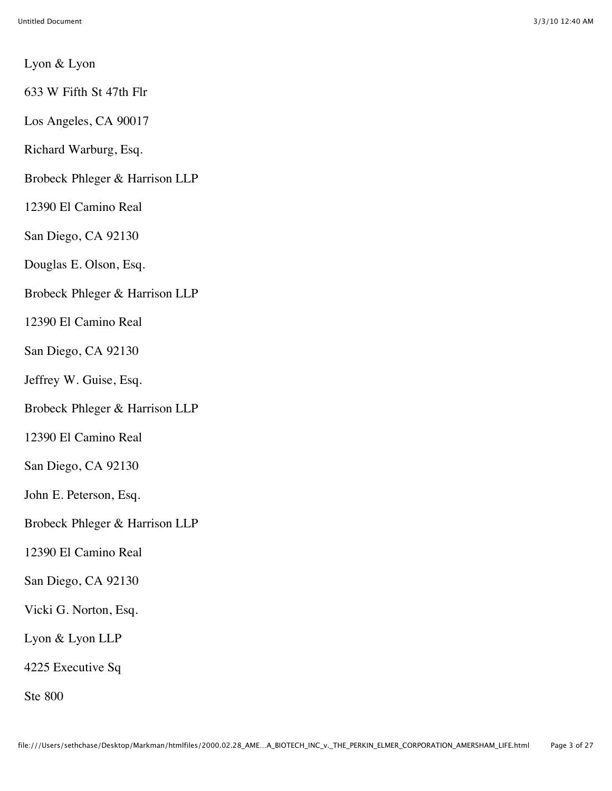Lyon & Lyon

633 W Fifth St 47th Flr

Los Angeles, CA 90017

Richard Warburg, Esq.

Brobeck Phleger & Harrison LLP

12390 El Camino Real

San Diego, CA 92130

Douglas E. Olson, Esq.

Brobeck Phleger & Harrison LLP

12390 El Camino Real

San Diego, CA 92130

Jeffrey W. Guise, Esq.

Brobeck Phleger & Harrison LLP

12390 El Camino Real

San Diego, CA 92130

John E. Peterson, Esq.

Brobeck Phleger & Harrison LLP

12390 El Camino Real

San Diego, CA 92130

Vicki G. Norton, Esq.

Lyon & Lyon LLP

4225 Executive Sq

Ste 800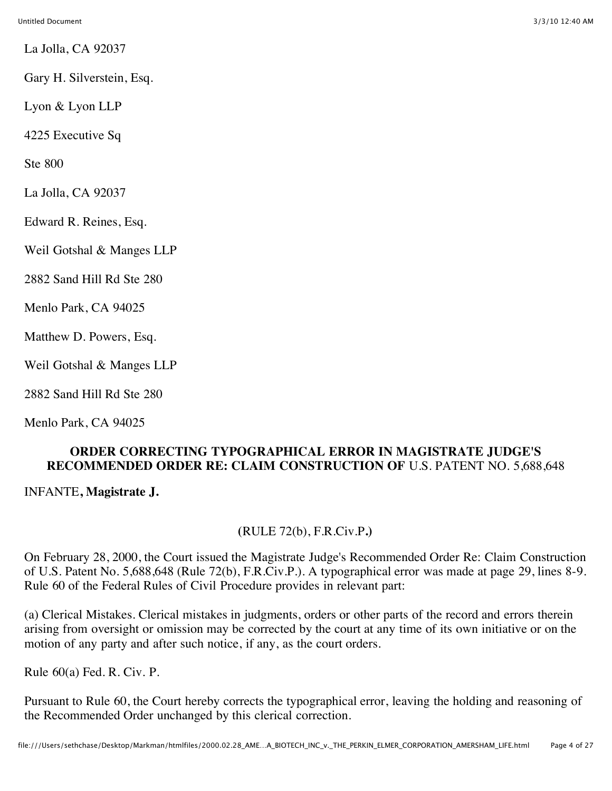La Jolla, CA 92037

Gary H. Silverstein, Esq.

Lyon & Lyon LLP

4225 Executive Sq

Ste 800

La Jolla, CA 92037

Edward R. Reines, Esq.

Weil Gotshal & Manges LLP

2882 Sand Hill Rd Ste 280

Menlo Park, CA 94025

Matthew D. Powers, Esq.

Weil Gotshal & Manges LLP

2882 Sand Hill Rd Ste 280

Menlo Park, CA 94025

## **ORDER CORRECTING TYPOGRAPHICAL ERROR IN MAGISTRATE JUDGE'S RECOMMENDED ORDER RE: CLAIM CONSTRUCTION OF** U.S. PATENT NO. 5,688,648

INFANTE**, Magistrate J.**

### **(**RULE 72(b), F.R.Civ.P**.)**

On February 28, 2000, the Court issued the Magistrate Judge's Recommended Order Re: Claim Construction of U.S. Patent No. 5,688,648 (Rule 72(b), F.R.Civ.P.). A typographical error was made at page 29, lines 8-9. Rule 60 of the Federal Rules of Civil Procedure provides in relevant part:

(a) Clerical Mistakes. Clerical mistakes in judgments, orders or other parts of the record and errors therein arising from oversight or omission may be corrected by the court at any time of its own initiative or on the motion of any party and after such notice, if any, as the court orders.

Rule 60(a) Fed. R. Civ. P.

Pursuant to Rule 60, the Court hereby corrects the typographical error, leaving the holding and reasoning of the Recommended Order unchanged by this clerical correction.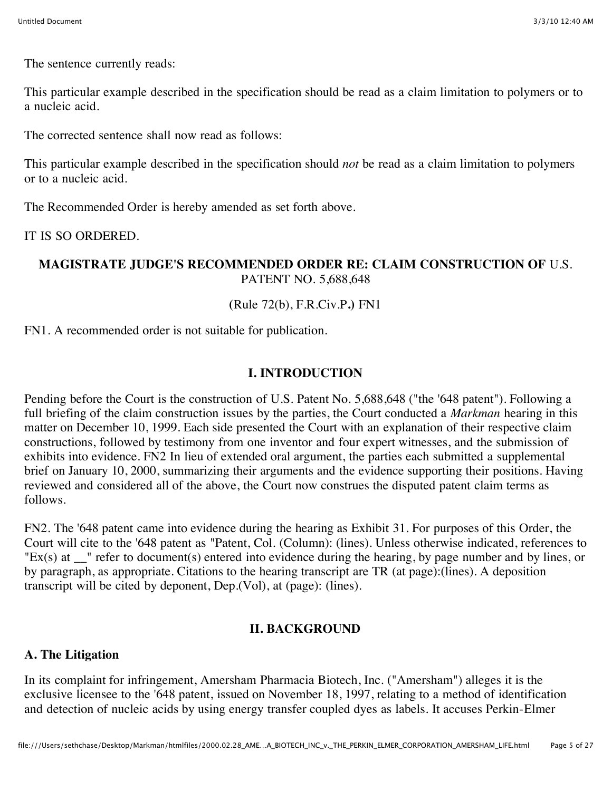The sentence currently reads:

This particular example described in the specification should be read as a claim limitation to polymers or to a nucleic acid.

The corrected sentence shall now read as follows:

This particular example described in the specification should *not* be read as a claim limitation to polymers or to a nucleic acid.

The Recommended Order is hereby amended as set forth above.

IT IS SO ORDERED.

### **MAGISTRATE JUDGE'S RECOMMENDED ORDER RE: CLAIM CONSTRUCTION OF** U.S. PATENT NO. 5,688,648

## **(**Rule 72(b), F.R.Civ.P**.)** FN1

FN1. A recommended order is not suitable for publication.

## **I. INTRODUCTION**

Pending before the Court is the construction of U.S. Patent No. 5,688,648 ("the '648 patent"). Following a full briefing of the claim construction issues by the parties, the Court conducted a *Markman* hearing in this matter on December 10, 1999. Each side presented the Court with an explanation of their respective claim constructions, followed by testimony from one inventor and four expert witnesses, and the submission of exhibits into evidence. FN2 In lieu of extended oral argument, the parties each submitted a supplemental brief on January 10, 2000, summarizing their arguments and the evidence supporting their positions. Having reviewed and considered all of the above, the Court now construes the disputed patent claim terms as follows.

FN2. The '648 patent came into evidence during the hearing as Exhibit 31. For purposes of this Order, the Court will cite to the '648 patent as "Patent, Col. (Column): (lines). Unless otherwise indicated, references to "Ex(s) at \_\_" refer to document(s) entered into evidence during the hearing, by page number and by lines, or by paragraph, as appropriate. Citations to the hearing transcript are TR (at page):(lines). A deposition transcript will be cited by deponent, Dep.(Vol), at (page): (lines).

### **II. BACKGROUND**

### **A. The Litigation**

In its complaint for infringement, Amersham Pharmacia Biotech, Inc. ("Amersham") alleges it is the exclusive licensee to the '648 patent, issued on November 18, 1997, relating to a method of identification and detection of nucleic acids by using energy transfer coupled dyes as labels. It accuses Perkin-Elmer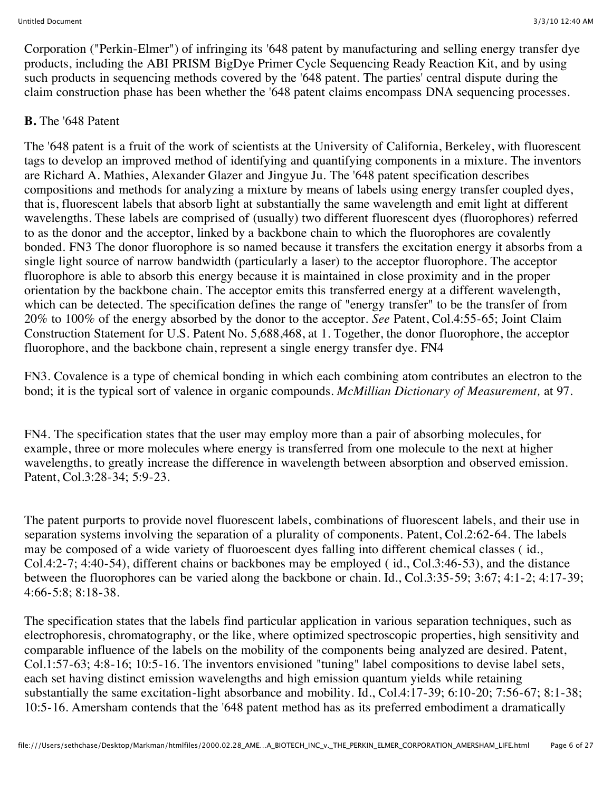Corporation ("Perkin-Elmer") of infringing its '648 patent by manufacturing and selling energy transfer dye products, including the ABI PRISM BigDye Primer Cycle Sequencing Ready Reaction Kit, and by using such products in sequencing methods covered by the '648 patent. The parties' central dispute during the claim construction phase has been whether the '648 patent claims encompass DNA sequencing processes.

# **B.** The '648 Patent

The '648 patent is a fruit of the work of scientists at the University of California, Berkeley, with fluorescent tags to develop an improved method of identifying and quantifying components in a mixture. The inventors are Richard A. Mathies, Alexander Glazer and Jingyue Ju. The '648 patent specification describes compositions and methods for analyzing a mixture by means of labels using energy transfer coupled dyes, that is, fluorescent labels that absorb light at substantially the same wavelength and emit light at different wavelengths. These labels are comprised of (usually) two different fluorescent dyes (fluorophores) referred to as the donor and the acceptor, linked by a backbone chain to which the fluorophores are covalently bonded. FN3 The donor fluorophore is so named because it transfers the excitation energy it absorbs from a single light source of narrow bandwidth (particularly a laser) to the acceptor fluorophore. The acceptor fluorophore is able to absorb this energy because it is maintained in close proximity and in the proper orientation by the backbone chain. The acceptor emits this transferred energy at a different wavelength, which can be detected. The specification defines the range of "energy transfer" to be the transfer of from 20% to 100% of the energy absorbed by the donor to the acceptor. *See* Patent, Col.4:55-65; Joint Claim Construction Statement for U.S. Patent No. 5,688,468, at 1. Together, the donor fluorophore, the acceptor fluorophore, and the backbone chain, represent a single energy transfer dye. FN4

FN3. Covalence is a type of chemical bonding in which each combining atom contributes an electron to the bond; it is the typical sort of valence in organic compounds. *McMillian Dictionary of Measurement,* at 97.

FN4. The specification states that the user may employ more than a pair of absorbing molecules, for example, three or more molecules where energy is transferred from one molecule to the next at higher wavelengths, to greatly increase the difference in wavelength between absorption and observed emission. Patent, Col.3:28-34; 5:9-23.

The patent purports to provide novel fluorescent labels, combinations of fluorescent labels, and their use in separation systems involving the separation of a plurality of components. Patent, Col.2:62-64. The labels may be composed of a wide variety of fluoroescent dyes falling into different chemical classes ( id., Col.4:2-7; 4:40-54), different chains or backbones may be employed ( id., Col.3:46-53), and the distance between the fluorophores can be varied along the backbone or chain. Id., Col.3:35-59; 3:67; 4:1-2; 4:17-39; 4:66-5:8; 8:18-38.

The specification states that the labels find particular application in various separation techniques, such as electrophoresis, chromatography, or the like, where optimized spectroscopic properties, high sensitivity and comparable influence of the labels on the mobility of the components being analyzed are desired. Patent, Col.1:57-63; 4:8-16; 10:5-16. The inventors envisioned "tuning" label compositions to devise label sets, each set having distinct emission wavelengths and high emission quantum yields while retaining substantially the same excitation-light absorbance and mobility. Id., Col.4:17-39; 6:10-20; 7:56-67; 8:1-38; 10:5-16. Amersham contends that the '648 patent method has as its preferred embodiment a dramatically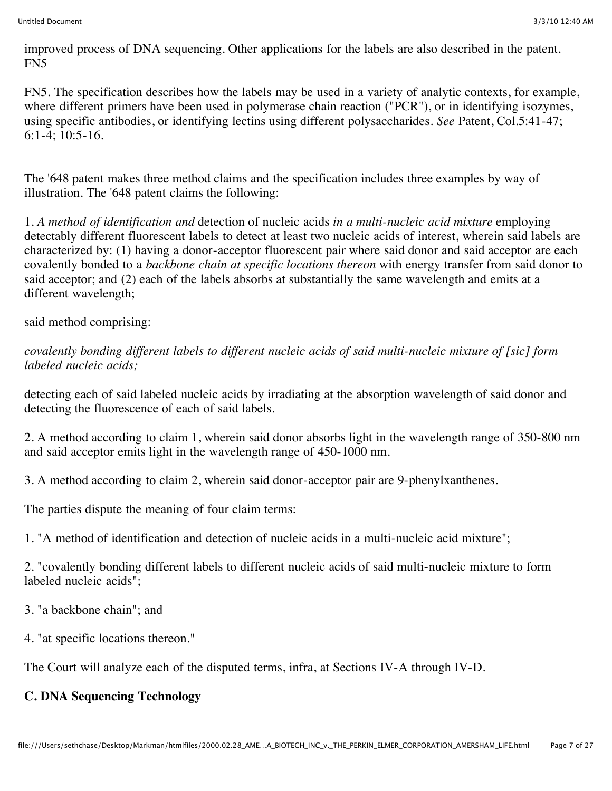improved process of DNA sequencing. Other applications for the labels are also described in the patent. FN5

FN5. The specification describes how the labels may be used in a variety of analytic contexts, for example, where different primers have been used in polymerase chain reaction ("PCR"), or in identifying isozymes, using specific antibodies, or identifying lectins using different polysaccharides. *See* Patent, Col.5:41-47; 6:1-4; 10:5-16.

The '648 patent makes three method claims and the specification includes three examples by way of illustration. The '648 patent claims the following:

1. *A method of identification and* detection of nucleic acids *in a multi-nucleic acid mixture* employing detectably different fluorescent labels to detect at least two nucleic acids of interest, wherein said labels are characterized by: (1) having a donor-acceptor fluorescent pair where said donor and said acceptor are each covalently bonded to a *backbone chain at specific locations thereon* with energy transfer from said donor to said acceptor; and (2) each of the labels absorbs at substantially the same wavelength and emits at a different wavelength;

said method comprising:

*covalently bonding different labels to different nucleic acids of said multi-nucleic mixture of [sic] form labeled nucleic acids;*

detecting each of said labeled nucleic acids by irradiating at the absorption wavelength of said donor and detecting the fluorescence of each of said labels.

2. A method according to claim 1, wherein said donor absorbs light in the wavelength range of 350-800 nm and said acceptor emits light in the wavelength range of 450-1000 nm.

3. A method according to claim 2, wherein said donor-acceptor pair are 9-phenylxanthenes.

The parties dispute the meaning of four claim terms:

1. "A method of identification and detection of nucleic acids in a multi-nucleic acid mixture";

2. "covalently bonding different labels to different nucleic acids of said multi-nucleic mixture to form labeled nucleic acids";

3. "a backbone chain"; and

4. "at specific locations thereon."

The Court will analyze each of the disputed terms, infra, at Sections IV-A through IV-D.

# **C. DNA Sequencing Technology**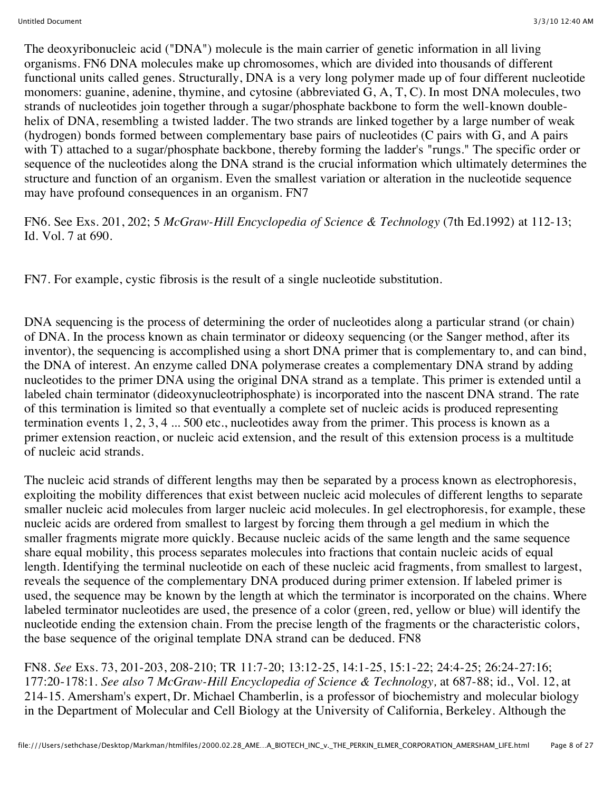The deoxyribonucleic acid ("DNA") molecule is the main carrier of genetic information in all living organisms. FN6 DNA molecules make up chromosomes, which are divided into thousands of different functional units called genes. Structurally, DNA is a very long polymer made up of four different nucleotide monomers: guanine, adenine, thymine, and cytosine (abbreviated G, A, T, C). In most DNA molecules, two strands of nucleotides join together through a sugar/phosphate backbone to form the well-known doublehelix of DNA, resembling a twisted ladder. The two strands are linked together by a large number of weak (hydrogen) bonds formed between complementary base pairs of nucleotides (C pairs with G, and A pairs with T) attached to a sugar/phosphate backbone, thereby forming the ladder's "rungs." The specific order or sequence of the nucleotides along the DNA strand is the crucial information which ultimately determines the structure and function of an organism. Even the smallest variation or alteration in the nucleotide sequence may have profound consequences in an organism. FN7

FN6. See Exs. 201, 202; 5 *McGraw-Hill Encyclopedia of Science & Technology* (7th Ed.1992) at 112-13; Id. Vol. 7 at 690.

FN7. For example, cystic fibrosis is the result of a single nucleotide substitution.

DNA sequencing is the process of determining the order of nucleotides along a particular strand (or chain) of DNA. In the process known as chain terminator or dideoxy sequencing (or the Sanger method, after its inventor), the sequencing is accomplished using a short DNA primer that is complementary to, and can bind, the DNA of interest. An enzyme called DNA polymerase creates a complementary DNA strand by adding nucleotides to the primer DNA using the original DNA strand as a template. This primer is extended until a labeled chain terminator (dideoxynucleotriphosphate) is incorporated into the nascent DNA strand. The rate of this termination is limited so that eventually a complete set of nucleic acids is produced representing termination events 1, 2, 3, 4 ... 500 etc., nucleotides away from the primer. This process is known as a primer extension reaction, or nucleic acid extension, and the result of this extension process is a multitude of nucleic acid strands.

The nucleic acid strands of different lengths may then be separated by a process known as electrophoresis, exploiting the mobility differences that exist between nucleic acid molecules of different lengths to separate smaller nucleic acid molecules from larger nucleic acid molecules. In gel electrophoresis, for example, these nucleic acids are ordered from smallest to largest by forcing them through a gel medium in which the smaller fragments migrate more quickly. Because nucleic acids of the same length and the same sequence share equal mobility, this process separates molecules into fractions that contain nucleic acids of equal length. Identifying the terminal nucleotide on each of these nucleic acid fragments, from smallest to largest, reveals the sequence of the complementary DNA produced during primer extension. If labeled primer is used, the sequence may be known by the length at which the terminator is incorporated on the chains. Where labeled terminator nucleotides are used, the presence of a color (green, red, yellow or blue) will identify the nucleotide ending the extension chain. From the precise length of the fragments or the characteristic colors, the base sequence of the original template DNA strand can be deduced. FN8

FN8. *See* Exs. 73, 201-203, 208-210; TR 11:7-20; 13:12-25, 14:1-25, 15:1-22; 24:4-25; 26:24-27:16; 177:20-178:1. *See also* 7 *McGraw-Hill Encyclopedia of Science & Technology,* at 687-88; id., Vol. 12, at 214-15. Amersham's expert, Dr. Michael Chamberlin, is a professor of biochemistry and molecular biology in the Department of Molecular and Cell Biology at the University of California, Berkeley. Although the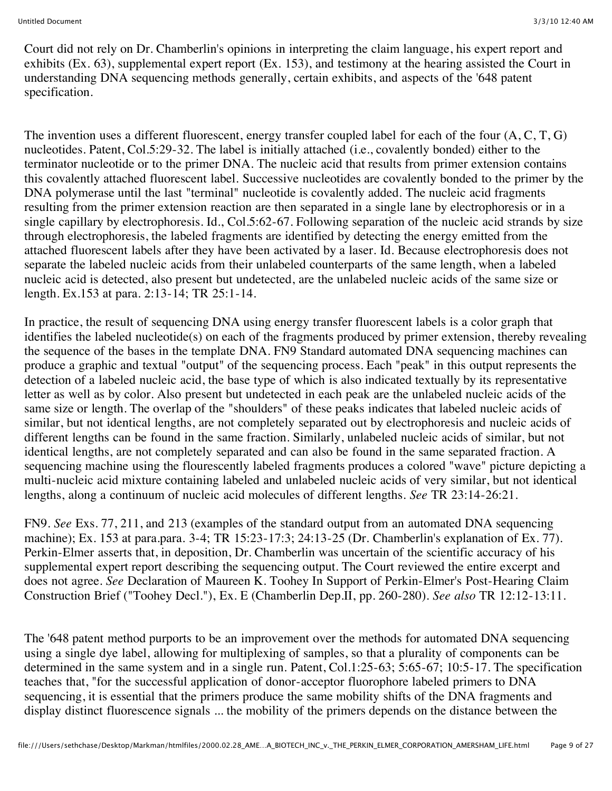Court did not rely on Dr. Chamberlin's opinions in interpreting the claim language, his expert report and exhibits (Ex. 63), supplemental expert report (Ex. 153), and testimony at the hearing assisted the Court in understanding DNA sequencing methods generally, certain exhibits, and aspects of the '648 patent specification.

The invention uses a different fluorescent, energy transfer coupled label for each of the four (A, C, T, G) nucleotides. Patent, Col.5:29-32. The label is initially attached (i.e., covalently bonded) either to the terminator nucleotide or to the primer DNA. The nucleic acid that results from primer extension contains this covalently attached fluorescent label. Successive nucleotides are covalently bonded to the primer by the DNA polymerase until the last "terminal" nucleotide is covalently added. The nucleic acid fragments resulting from the primer extension reaction are then separated in a single lane by electrophoresis or in a single capillary by electrophoresis. Id., Col.5:62-67. Following separation of the nucleic acid strands by size through electrophoresis, the labeled fragments are identified by detecting the energy emitted from the attached fluorescent labels after they have been activated by a laser. Id. Because electrophoresis does not separate the labeled nucleic acids from their unlabeled counterparts of the same length, when a labeled nucleic acid is detected, also present but undetected, are the unlabeled nucleic acids of the same size or length. Ex.153 at para. 2:13-14; TR 25:1-14.

In practice, the result of sequencing DNA using energy transfer fluorescent labels is a color graph that identifies the labeled nucleotide(s) on each of the fragments produced by primer extension, thereby revealing the sequence of the bases in the template DNA. FN9 Standard automated DNA sequencing machines can produce a graphic and textual "output" of the sequencing process. Each "peak" in this output represents the detection of a labeled nucleic acid, the base type of which is also indicated textually by its representative letter as well as by color. Also present but undetected in each peak are the unlabeled nucleic acids of the same size or length. The overlap of the "shoulders" of these peaks indicates that labeled nucleic acids of similar, but not identical lengths, are not completely separated out by electrophoresis and nucleic acids of different lengths can be found in the same fraction. Similarly, unlabeled nucleic acids of similar, but not identical lengths, are not completely separated and can also be found in the same separated fraction. A sequencing machine using the flourescently labeled fragments produces a colored "wave" picture depicting a multi-nucleic acid mixture containing labeled and unlabeled nucleic acids of very similar, but not identical lengths, along a continuum of nucleic acid molecules of different lengths. *See* TR 23:14-26:21.

FN9. *See* Exs. 77, 211, and 213 (examples of the standard output from an automated DNA sequencing machine); Ex. 153 at para.para. 3-4; TR 15:23-17:3; 24:13-25 (Dr. Chamberlin's explanation of Ex. 77). Perkin-Elmer asserts that, in deposition, Dr. Chamberlin was uncertain of the scientific accuracy of his supplemental expert report describing the sequencing output. The Court reviewed the entire excerpt and does not agree. *See* Declaration of Maureen K. Toohey In Support of Perkin-Elmer's Post-Hearing Claim Construction Brief ("Toohey Decl."), Ex. E (Chamberlin Dep.II, pp. 260-280). *See also* TR 12:12-13:11.

The '648 patent method purports to be an improvement over the methods for automated DNA sequencing using a single dye label, allowing for multiplexing of samples, so that a plurality of components can be determined in the same system and in a single run. Patent, Col.1:25-63; 5:65-67; 10:5-17. The specification teaches that, "for the successful application of donor-acceptor fluorophore labeled primers to DNA sequencing, it is essential that the primers produce the same mobility shifts of the DNA fragments and display distinct fluorescence signals ... the mobility of the primers depends on the distance between the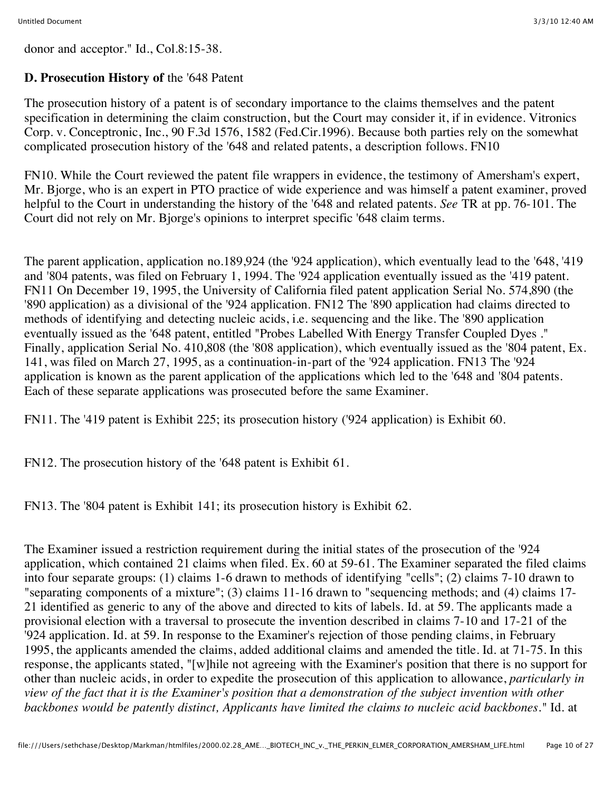donor and acceptor." Id., Col.8:15-38.

# **D. Prosecution History of** the '648 Patent

The prosecution history of a patent is of secondary importance to the claims themselves and the patent specification in determining the claim construction, but the Court may consider it, if in evidence. Vitronics Corp. v. Conceptronic, Inc., 90 F.3d 1576, 1582 (Fed.Cir.1996). Because both parties rely on the somewhat complicated prosecution history of the '648 and related patents, a description follows. FN10

FN10. While the Court reviewed the patent file wrappers in evidence, the testimony of Amersham's expert, Mr. Bjorge, who is an expert in PTO practice of wide experience and was himself a patent examiner, proved helpful to the Court in understanding the history of the '648 and related patents. *See* TR at pp. 76-101. The Court did not rely on Mr. Bjorge's opinions to interpret specific '648 claim terms.

The parent application, application no.189,924 (the '924 application), which eventually lead to the '648, '419 and '804 patents, was filed on February 1, 1994. The '924 application eventually issued as the '419 patent. FN11 On December 19, 1995, the University of California filed patent application Serial No. 574,890 (the '890 application) as a divisional of the '924 application. FN12 The '890 application had claims directed to methods of identifying and detecting nucleic acids, i.e. sequencing and the like. The '890 application eventually issued as the '648 patent, entitled "Probes Labelled With Energy Transfer Coupled Dyes ." Finally, application Serial No. 410,808 (the '808 application), which eventually issued as the '804 patent, Ex. 141, was filed on March 27, 1995, as a continuation-in-part of the '924 application. FN13 The '924 application is known as the parent application of the applications which led to the '648 and '804 patents. Each of these separate applications was prosecuted before the same Examiner.

FN11. The '419 patent is Exhibit 225; its prosecution history ('924 application) is Exhibit 60.

FN12. The prosecution history of the '648 patent is Exhibit 61.

FN13. The '804 patent is Exhibit 141; its prosecution history is Exhibit 62.

The Examiner issued a restriction requirement during the initial states of the prosecution of the '924 application, which contained 21 claims when filed. Ex. 60 at 59-61. The Examiner separated the filed claims into four separate groups: (1) claims 1-6 drawn to methods of identifying "cells"; (2) claims 7-10 drawn to "separating components of a mixture"; (3) claims 11-16 drawn to "sequencing methods; and (4) claims 17- 21 identified as generic to any of the above and directed to kits of labels. Id. at 59. The applicants made a provisional election with a traversal to prosecute the invention described in claims 7-10 and 17-21 of the '924 application. Id. at 59. In response to the Examiner's rejection of those pending claims, in February 1995, the applicants amended the claims, added additional claims and amended the title. Id. at 71-75. In this response, the applicants stated, "[w]hile not agreeing with the Examiner's position that there is no support for other than nucleic acids, in order to expedite the prosecution of this application to allowance, *particularly in view of the fact that it is the Examiner's position that a demonstration of the subject invention with other backbones would be patently distinct, Applicants have limited the claims to nucleic acid backbones."* Id. at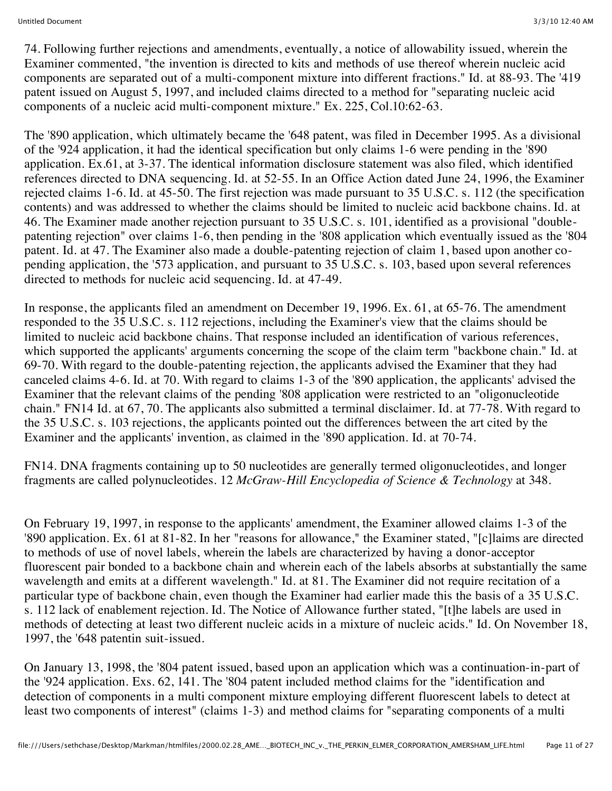74. Following further rejections and amendments, eventually, a notice of allowability issued, wherein the Examiner commented, "the invention is directed to kits and methods of use thereof wherein nucleic acid components are separated out of a multi-component mixture into different fractions." Id. at 88-93. The '419 patent issued on August 5, 1997, and included claims directed to a method for "separating nucleic acid components of a nucleic acid multi-component mixture." Ex. 225, Col.10:62-63.

The '890 application, which ultimately became the '648 patent, was filed in December 1995. As a divisional of the '924 application, it had the identical specification but only claims 1-6 were pending in the '890 application. Ex.61, at 3-37. The identical information disclosure statement was also filed, which identified references directed to DNA sequencing. Id. at 52-55. In an Office Action dated June 24, 1996, the Examiner rejected claims 1-6. Id. at 45-50. The first rejection was made pursuant to 35 U.S.C. s. 112 (the specification contents) and was addressed to whether the claims should be limited to nucleic acid backbone chains. Id. at 46. The Examiner made another rejection pursuant to 35 U.S.C. s. 101, identified as a provisional "doublepatenting rejection" over claims 1-6, then pending in the '808 application which eventually issued as the '804 patent. Id. at 47. The Examiner also made a double-patenting rejection of claim 1, based upon another copending application, the '573 application, and pursuant to 35 U.S.C. s. 103, based upon several references directed to methods for nucleic acid sequencing. Id. at 47-49.

In response, the applicants filed an amendment on December 19, 1996. Ex. 61, at 65-76. The amendment responded to the 35 U.S.C. s. 112 rejections, including the Examiner's view that the claims should be limited to nucleic acid backbone chains. That response included an identification of various references, which supported the applicants' arguments concerning the scope of the claim term "backbone chain." Id. at 69-70. With regard to the double-patenting rejection, the applicants advised the Examiner that they had canceled claims 4-6. Id. at 70. With regard to claims 1-3 of the '890 application, the applicants' advised the Examiner that the relevant claims of the pending '808 application were restricted to an "oligonucleotide chain." FN14 Id. at 67, 70. The applicants also submitted a terminal disclaimer. Id. at 77-78. With regard to the 35 U.S.C. s. 103 rejections, the applicants pointed out the differences between the art cited by the Examiner and the applicants' invention, as claimed in the '890 application. Id. at 70-74.

FN14. DNA fragments containing up to 50 nucleotides are generally termed oligonucleotides, and longer fragments are called polynucleotides. 12 *McGraw-Hill Encyclopedia of Science & Technology* at 348.

On February 19, 1997, in response to the applicants' amendment, the Examiner allowed claims 1-3 of the '890 application. Ex. 61 at 81-82. In her "reasons for allowance," the Examiner stated, "[c]laims are directed to methods of use of novel labels, wherein the labels are characterized by having a donor-acceptor fluorescent pair bonded to a backbone chain and wherein each of the labels absorbs at substantially the same wavelength and emits at a different wavelength." Id. at 81. The Examiner did not require recitation of a particular type of backbone chain, even though the Examiner had earlier made this the basis of a 35 U.S.C. s. 112 lack of enablement rejection. Id. The Notice of Allowance further stated, "[t]he labels are used in methods of detecting at least two different nucleic acids in a mixture of nucleic acids." Id. On November 18, 1997, the '648 patentin suit-issued.

On January 13, 1998, the '804 patent issued, based upon an application which was a continuation-in-part of the '924 application. Exs. 62, 141. The '804 patent included method claims for the "identification and detection of components in a multi component mixture employing different fluorescent labels to detect at least two components of interest" (claims 1-3) and method claims for "separating components of a multi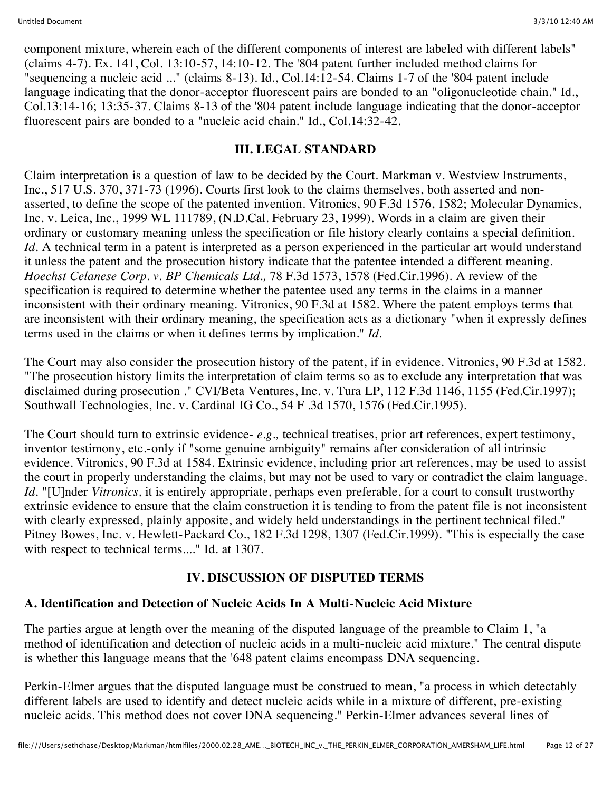component mixture, wherein each of the different components of interest are labeled with different labels" (claims 4-7). Ex. 141, Col. 13:10-57, 14:10-12. The '804 patent further included method claims for "sequencing a nucleic acid ..." (claims 8-13). Id., Col.14:12-54. Claims 1-7 of the '804 patent include language indicating that the donor-acceptor fluorescent pairs are bonded to an "oligonucleotide chain." Id., Col.13:14-16; 13:35-37. Claims 8-13 of the '804 patent include language indicating that the donor-acceptor fluorescent pairs are bonded to a "nucleic acid chain." Id., Col.14:32-42.

# **III. LEGAL STANDARD**

Claim interpretation is a question of law to be decided by the Court. Markman v. Westview Instruments, Inc., 517 U.S. 370, 371-73 (1996). Courts first look to the claims themselves, both asserted and nonasserted, to define the scope of the patented invention. Vitronics, 90 F.3d 1576, 1582; Molecular Dynamics, Inc. v. Leica, Inc., 1999 WL 111789, (N.D.Cal. February 23, 1999). Words in a claim are given their ordinary or customary meaning unless the specification or file history clearly contains a special definition. *Id.* A technical term in a patent is interpreted as a person experienced in the particular art would understand it unless the patent and the prosecution history indicate that the patentee intended a different meaning. *Hoechst Celanese Corp. v. BP Chemicals Ltd.,* 78 F.3d 1573, 1578 (Fed.Cir.1996). A review of the specification is required to determine whether the patentee used any terms in the claims in a manner inconsistent with their ordinary meaning. Vitronics, 90 F.3d at 1582. Where the patent employs terms that are inconsistent with their ordinary meaning, the specification acts as a dictionary "when it expressly defines terms used in the claims or when it defines terms by implication." *Id.*

The Court may also consider the prosecution history of the patent, if in evidence. Vitronics, 90 F.3d at 1582. "The prosecution history limits the interpretation of claim terms so as to exclude any interpretation that was disclaimed during prosecution ." CVI/Beta Ventures, Inc. v. Tura LP, 112 F.3d 1146, 1155 (Fed.Cir.1997); Southwall Technologies, Inc. v. Cardinal IG Co., 54 F .3d 1570, 1576 (Fed.Cir.1995).

The Court should turn to extrinsic evidence- *e.g.,* technical treatises, prior art references, expert testimony, inventor testimony, etc.-only if "some genuine ambiguity" remains after consideration of all intrinsic evidence. Vitronics, 90 F.3d at 1584. Extrinsic evidence, including prior art references, may be used to assist the court in properly understanding the claims, but may not be used to vary or contradict the claim language. *Id.* "[U]nder *Vitronics,* it is entirely appropriate, perhaps even preferable, for a court to consult trustworthy extrinsic evidence to ensure that the claim construction it is tending to from the patent file is not inconsistent with clearly expressed, plainly apposite, and widely held understandings in the pertinent technical filed." Pitney Bowes, Inc. v. Hewlett-Packard Co., 182 F.3d 1298, 1307 (Fed.Cir.1999). "This is especially the case with respect to technical terms...." Id. at 1307.

# **IV. DISCUSSION OF DISPUTED TERMS**

# **A. Identification and Detection of Nucleic Acids In A Multi-Nucleic Acid Mixture**

The parties argue at length over the meaning of the disputed language of the preamble to Claim 1, "a method of identification and detection of nucleic acids in a multi-nucleic acid mixture." The central dispute is whether this language means that the '648 patent claims encompass DNA sequencing.

Perkin-Elmer argues that the disputed language must be construed to mean, "a process in which detectably different labels are used to identify and detect nucleic acids while in a mixture of different, pre-existing nucleic acids. This method does not cover DNA sequencing." Perkin-Elmer advances several lines of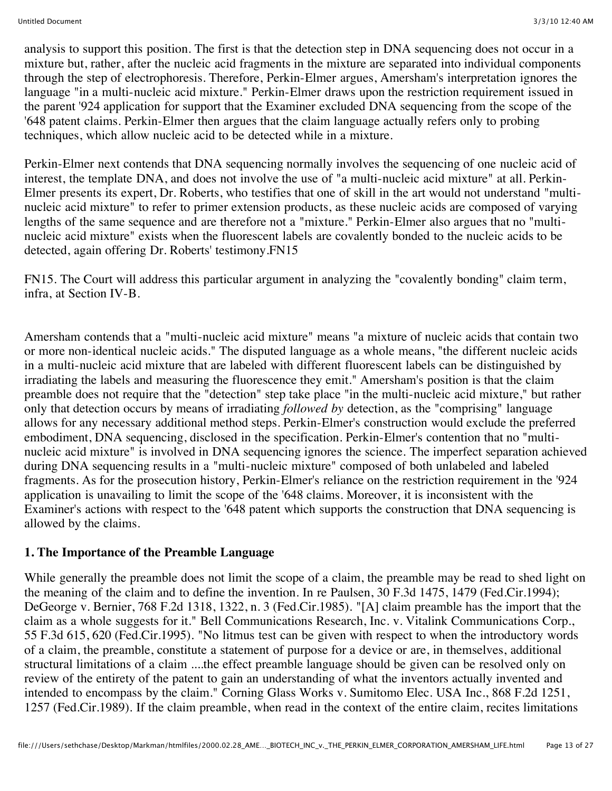analysis to support this position. The first is that the detection step in DNA sequencing does not occur in a mixture but, rather, after the nucleic acid fragments in the mixture are separated into individual components through the step of electrophoresis. Therefore, Perkin-Elmer argues, Amersham's interpretation ignores the language "in a multi-nucleic acid mixture." Perkin-Elmer draws upon the restriction requirement issued in the parent '924 application for support that the Examiner excluded DNA sequencing from the scope of the '648 patent claims. Perkin-Elmer then argues that the claim language actually refers only to probing techniques, which allow nucleic acid to be detected while in a mixture.

Perkin-Elmer next contends that DNA sequencing normally involves the sequencing of one nucleic acid of interest, the template DNA, and does not involve the use of "a multi-nucleic acid mixture" at all. Perkin-Elmer presents its expert, Dr. Roberts, who testifies that one of skill in the art would not understand "multinucleic acid mixture" to refer to primer extension products, as these nucleic acids are composed of varying lengths of the same sequence and are therefore not a "mixture." Perkin-Elmer also argues that no "multinucleic acid mixture" exists when the fluorescent labels are covalently bonded to the nucleic acids to be detected, again offering Dr. Roberts' testimony.FN15

FN15. The Court will address this particular argument in analyzing the "covalently bonding" claim term, infra, at Section IV-B.

Amersham contends that a "multi-nucleic acid mixture" means "a mixture of nucleic acids that contain two or more non-identical nucleic acids." The disputed language as a whole means, "the different nucleic acids in a multi-nucleic acid mixture that are labeled with different fluorescent labels can be distinguished by irradiating the labels and measuring the fluorescence they emit." Amersham's position is that the claim preamble does not require that the "detection" step take place "in the multi-nucleic acid mixture," but rather only that detection occurs by means of irradiating *followed by* detection, as the "comprising" language allows for any necessary additional method steps. Perkin-Elmer's construction would exclude the preferred embodiment, DNA sequencing, disclosed in the specification. Perkin-Elmer's contention that no "multinucleic acid mixture" is involved in DNA sequencing ignores the science. The imperfect separation achieved during DNA sequencing results in a "multi-nucleic mixture" composed of both unlabeled and labeled fragments. As for the prosecution history, Perkin-Elmer's reliance on the restriction requirement in the '924 application is unavailing to limit the scope of the '648 claims. Moreover, it is inconsistent with the Examiner's actions with respect to the '648 patent which supports the construction that DNA sequencing is allowed by the claims.

### **1. The Importance of the Preamble Language**

While generally the preamble does not limit the scope of a claim, the preamble may be read to shed light on the meaning of the claim and to define the invention. In re Paulsen, 30 F.3d 1475, 1479 (Fed.Cir.1994); DeGeorge v. Bernier, 768 F.2d 1318, 1322, n. 3 (Fed.Cir.1985). "[A] claim preamble has the import that the claim as a whole suggests for it." Bell Communications Research, Inc. v. Vitalink Communications Corp., 55 F.3d 615, 620 (Fed.Cir.1995). "No litmus test can be given with respect to when the introductory words of a claim, the preamble, constitute a statement of purpose for a device or are, in themselves, additional structural limitations of a claim ....the effect preamble language should be given can be resolved only on review of the entirety of the patent to gain an understanding of what the inventors actually invented and intended to encompass by the claim." Corning Glass Works v. Sumitomo Elec. USA Inc., 868 F.2d 1251, 1257 (Fed.Cir.1989). If the claim preamble, when read in the context of the entire claim, recites limitations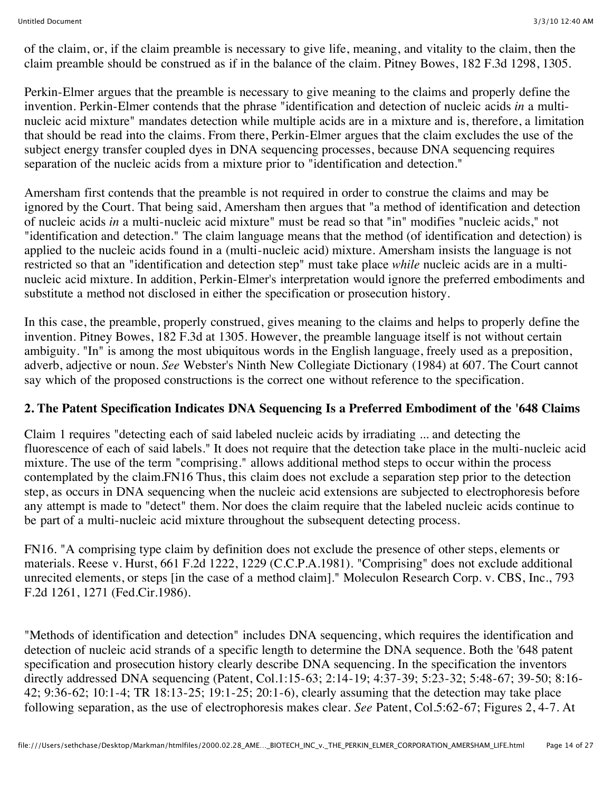of the claim, or, if the claim preamble is necessary to give life, meaning, and vitality to the claim, then the claim preamble should be construed as if in the balance of the claim. Pitney Bowes, 182 F.3d 1298, 1305.

Perkin-Elmer argues that the preamble is necessary to give meaning to the claims and properly define the invention. Perkin-Elmer contends that the phrase "identification and detection of nucleic acids *in* a multinucleic acid mixture" mandates detection while multiple acids are in a mixture and is, therefore, a limitation that should be read into the claims. From there, Perkin-Elmer argues that the claim excludes the use of the subject energy transfer coupled dyes in DNA sequencing processes, because DNA sequencing requires separation of the nucleic acids from a mixture prior to "identification and detection."

Amersham first contends that the preamble is not required in order to construe the claims and may be ignored by the Court. That being said, Amersham then argues that "a method of identification and detection of nucleic acids *in* a multi-nucleic acid mixture" must be read so that "in" modifies "nucleic acids," not "identification and detection." The claim language means that the method (of identification and detection) is applied to the nucleic acids found in a (multi-nucleic acid) mixture. Amersham insists the language is not restricted so that an "identification and detection step" must take place *while* nucleic acids are in a multinucleic acid mixture. In addition, Perkin-Elmer's interpretation would ignore the preferred embodiments and substitute a method not disclosed in either the specification or prosecution history.

In this case, the preamble, properly construed, gives meaning to the claims and helps to properly define the invention. Pitney Bowes, 182 F.3d at 1305. However, the preamble language itself is not without certain ambiguity. "In" is among the most ubiquitous words in the English language, freely used as a preposition, adverb, adjective or noun. *See* Webster's Ninth New Collegiate Dictionary (1984) at 607. The Court cannot say which of the proposed constructions is the correct one without reference to the specification.

### **2. The Patent Specification Indicates DNA Sequencing Is a Preferred Embodiment of the '648 Claims**

Claim 1 requires "detecting each of said labeled nucleic acids by irradiating ... and detecting the fluorescence of each of said labels." It does not require that the detection take place in the multi-nucleic acid mixture. The use of the term "comprising." allows additional method steps to occur within the process contemplated by the claim.FN16 Thus, this claim does not exclude a separation step prior to the detection step, as occurs in DNA sequencing when the nucleic acid extensions are subjected to electrophoresis before any attempt is made to "detect" them. Nor does the claim require that the labeled nucleic acids continue to be part of a multi-nucleic acid mixture throughout the subsequent detecting process.

FN16. "A comprising type claim by definition does not exclude the presence of other steps, elements or materials. Reese v. Hurst, 661 F.2d 1222, 1229 (C.C.P.A.1981). "Comprising" does not exclude additional unrecited elements, or steps [in the case of a method claim]." Moleculon Research Corp. v. CBS, Inc., 793 F.2d 1261, 1271 (Fed.Cir.1986).

"Methods of identification and detection" includes DNA sequencing, which requires the identification and detection of nucleic acid strands of a specific length to determine the DNA sequence. Both the '648 patent specification and prosecution history clearly describe DNA sequencing. In the specification the inventors directly addressed DNA sequencing (Patent, Col.1:15-63; 2:14-19; 4:37-39; 5:23-32; 5:48-67; 39-50; 8:16- 42; 9:36-62; 10:1-4; TR 18:13-25; 19:1-25; 20:1-6), clearly assuming that the detection may take place following separation, as the use of electrophoresis makes clear. *See* Patent, Col.5:62-67; Figures 2, 4-7. At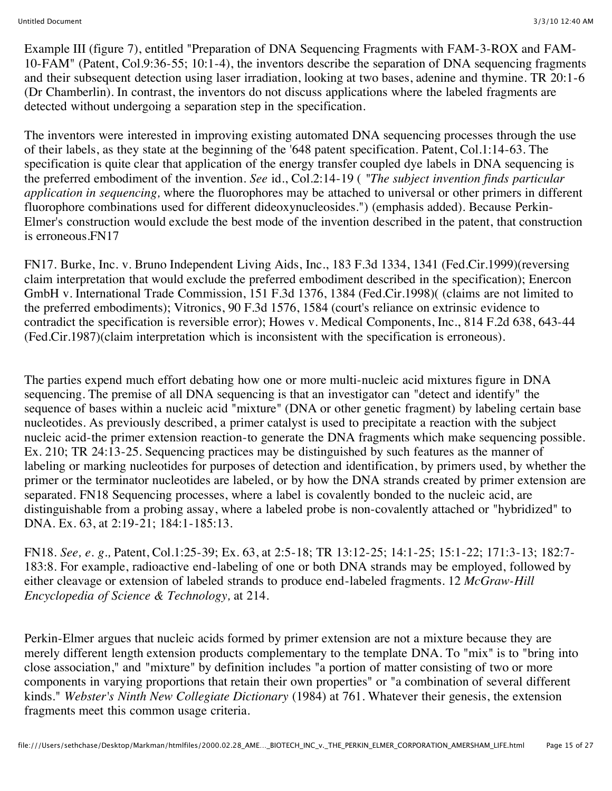Example III (figure 7), entitled "Preparation of DNA Sequencing Fragments with FAM-3-ROX and FAM-10-FAM" (Patent, Col.9:36-55; 10:1-4), the inventors describe the separation of DNA sequencing fragments and their subsequent detection using laser irradiation, looking at two bases, adenine and thymine. TR 20:1-6 (Dr Chamberlin). In contrast, the inventors do not discuss applications where the labeled fragments are detected without undergoing a separation step in the specification.

The inventors were interested in improving existing automated DNA sequencing processes through the use of their labels, as they state at the beginning of the '648 patent specification. Patent, Col.1:14-63. The specification is quite clear that application of the energy transfer coupled dye labels in DNA sequencing is the preferred embodiment of the invention. *See* id., Col.2:14-19 ( *"The subject invention finds particular application in sequencing,* where the fluorophores may be attached to universal or other primers in different fluorophore combinations used for different dideoxynucleosides.") (emphasis added). Because Perkin-Elmer's construction would exclude the best mode of the invention described in the patent, that construction is erroneous.FN17

FN17. Burke, Inc. v. Bruno Independent Living Aids, Inc., 183 F.3d 1334, 1341 (Fed.Cir.1999)(reversing claim interpretation that would exclude the preferred embodiment described in the specification); Enercon GmbH v. International Trade Commission, 151 F.3d 1376, 1384 (Fed.Cir.1998)( (claims are not limited to the preferred embodiments); Vitronics, 90 F.3d 1576, 1584 (court's reliance on extrinsic evidence to contradict the specification is reversible error); Howes v. Medical Components, Inc., 814 F.2d 638, 643-44 (Fed.Cir.1987)(claim interpretation which is inconsistent with the specification is erroneous).

The parties expend much effort debating how one or more multi-nucleic acid mixtures figure in DNA sequencing. The premise of all DNA sequencing is that an investigator can "detect and identify" the sequence of bases within a nucleic acid "mixture" (DNA or other genetic fragment) by labeling certain base nucleotides. As previously described, a primer catalyst is used to precipitate a reaction with the subject nucleic acid-the primer extension reaction-to generate the DNA fragments which make sequencing possible. Ex. 210; TR 24:13-25. Sequencing practices may be distinguished by such features as the manner of labeling or marking nucleotides for purposes of detection and identification, by primers used, by whether the primer or the terminator nucleotides are labeled, or by how the DNA strands created by primer extension are separated. FN18 Sequencing processes, where a label is covalently bonded to the nucleic acid, are distinguishable from a probing assay, where a labeled probe is non-covalently attached or "hybridized" to DNA. Ex. 63, at 2:19-21; 184:1-185:13.

FN18. *See, e. g.,* Patent, Col.1:25-39; Ex. 63, at 2:5-18; TR 13:12-25; 14:1-25; 15:1-22; 171:3-13; 182:7- 183:8. For example, radioactive end-labeling of one or both DNA strands may be employed, followed by either cleavage or extension of labeled strands to produce end-labeled fragments. 12 *McGraw-Hill Encyclopedia of Science & Technology,* at 214.

Perkin-Elmer argues that nucleic acids formed by primer extension are not a mixture because they are merely different length extension products complementary to the template DNA. To "mix" is to "bring into close association," and "mixture" by definition includes "a portion of matter consisting of two or more components in varying proportions that retain their own properties" or "a combination of several different kinds." *Webster's Ninth New Collegiate Dictionary* (1984) at 761. Whatever their genesis, the extension fragments meet this common usage criteria.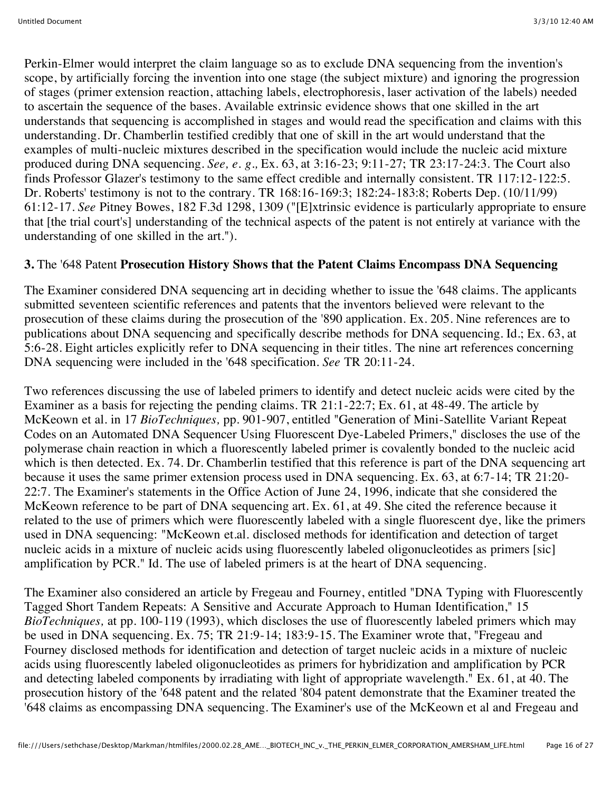Perkin-Elmer would interpret the claim language so as to exclude DNA sequencing from the invention's scope, by artificially forcing the invention into one stage (the subject mixture) and ignoring the progression of stages (primer extension reaction, attaching labels, electrophoresis, laser activation of the labels) needed to ascertain the sequence of the bases. Available extrinsic evidence shows that one skilled in the art understands that sequencing is accomplished in stages and would read the specification and claims with this understanding. Dr. Chamberlin testified credibly that one of skill in the art would understand that the examples of multi-nucleic mixtures described in the specification would include the nucleic acid mixture produced during DNA sequencing. *See, e. g.,* Ex. 63, at 3:16-23; 9:11-27; TR 23:17-24:3. The Court also finds Professor Glazer's testimony to the same effect credible and internally consistent. TR 117:12-122:5. Dr. Roberts' testimony is not to the contrary. TR 168:16-169:3; 182:24-183:8; Roberts Dep. (10/11/99) 61:12-17. *See* Pitney Bowes, 182 F.3d 1298, 1309 ("[E]xtrinsic evidence is particularly appropriate to ensure that [the trial court's] understanding of the technical aspects of the patent is not entirely at variance with the understanding of one skilled in the art.").

### **3.** The '648 Patent **Prosecution History Shows that the Patent Claims Encompass DNA Sequencing**

The Examiner considered DNA sequencing art in deciding whether to issue the '648 claims. The applicants submitted seventeen scientific references and patents that the inventors believed were relevant to the prosecution of these claims during the prosecution of the '890 application. Ex. 205. Nine references are to publications about DNA sequencing and specifically describe methods for DNA sequencing. Id.; Ex. 63, at 5:6-28. Eight articles explicitly refer to DNA sequencing in their titles. The nine art references concerning DNA sequencing were included in the '648 specification. *See* TR 20:11-24.

Two references discussing the use of labeled primers to identify and detect nucleic acids were cited by the Examiner as a basis for rejecting the pending claims. TR 21:1-22:7; Ex. 61, at 48-49. The article by McKeown et al. in 17 *BioTechniques,* pp. 901-907, entitled "Generation of Mini-Satellite Variant Repeat Codes on an Automated DNA Sequencer Using Fluorescent Dye-Labeled Primers," discloses the use of the polymerase chain reaction in which a fluorescently labeled primer is covalently bonded to the nucleic acid which is then detected. Ex. 74. Dr. Chamberlin testified that this reference is part of the DNA sequencing art because it uses the same primer extension process used in DNA sequencing. Ex. 63, at 6:7-14; TR 21:20- 22:7. The Examiner's statements in the Office Action of June 24, 1996, indicate that she considered the McKeown reference to be part of DNA sequencing art. Ex. 61, at 49. She cited the reference because it related to the use of primers which were fluorescently labeled with a single fluorescent dye, like the primers used in DNA sequencing: "McKeown et.al. disclosed methods for identification and detection of target nucleic acids in a mixture of nucleic acids using fluorescently labeled oligonucleotides as primers [sic] amplification by PCR." Id. The use of labeled primers is at the heart of DNA sequencing.

The Examiner also considered an article by Fregeau and Fourney, entitled "DNA Typing with Fluorescently Tagged Short Tandem Repeats: A Sensitive and Accurate Approach to Human Identification," 15 *BioTechniques,* at pp. 100-119 (1993), which discloses the use of fluorescently labeled primers which may be used in DNA sequencing. Ex. 75; TR 21:9-14; 183:9-15. The Examiner wrote that, "Fregeau and Fourney disclosed methods for identification and detection of target nucleic acids in a mixture of nucleic acids using fluorescently labeled oligonucleotides as primers for hybridization and amplification by PCR and detecting labeled components by irradiating with light of appropriate wavelength." Ex. 61, at 40. The prosecution history of the '648 patent and the related '804 patent demonstrate that the Examiner treated the '648 claims as encompassing DNA sequencing. The Examiner's use of the McKeown et al and Fregeau and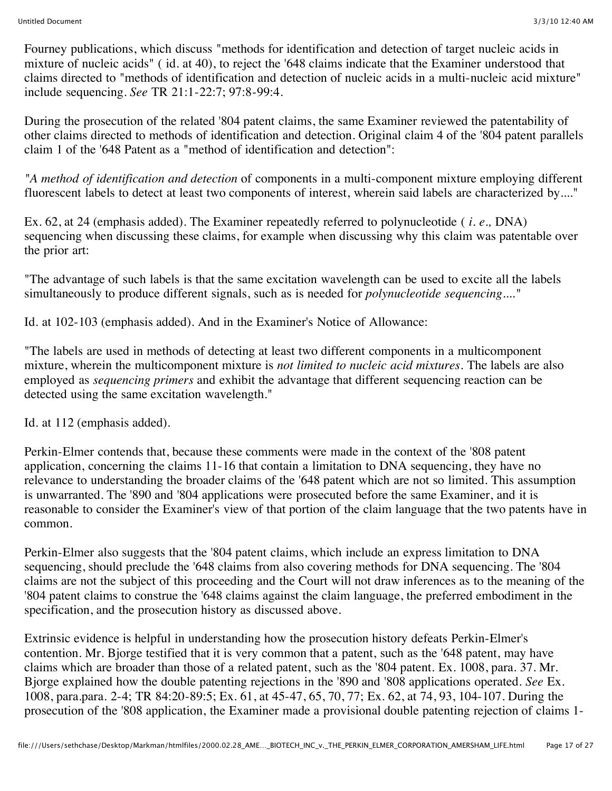Fourney publications, which discuss "methods for identification and detection of target nucleic acids in mixture of nucleic acids" ( id. at 40), to reject the '648 claims indicate that the Examiner understood that claims directed to "methods of identification and detection of nucleic acids in a multi-nucleic acid mixture" include sequencing. *See* TR 21:1-22:7; 97:8-99:4.

During the prosecution of the related '804 patent claims, the same Examiner reviewed the patentability of other claims directed to methods of identification and detection. Original claim 4 of the '804 patent parallels claim 1 of the '648 Patent as a "method of identification and detection":

*"A method of identification and detection* of components in a multi-component mixture employing different fluorescent labels to detect at least two components of interest, wherein said labels are characterized by...."

Ex. 62, at 24 (emphasis added). The Examiner repeatedly referred to polynucleotide ( *i. e.,* DNA) sequencing when discussing these claims, for example when discussing why this claim was patentable over the prior art:

"The advantage of such labels is that the same excitation wavelength can be used to excite all the labels simultaneously to produce different signals, such as is needed for *polynucleotide sequencing...."*

Id. at 102-103 (emphasis added). And in the Examiner's Notice of Allowance:

"The labels are used in methods of detecting at least two different components in a multicomponent mixture, wherein the multicomponent mixture is *not limited to nucleic acid mixtures.* The labels are also employed as *sequencing primers* and exhibit the advantage that different sequencing reaction can be detected using the same excitation wavelength."

Id. at 112 (emphasis added).

Perkin-Elmer contends that, because these comments were made in the context of the '808 patent application, concerning the claims 11-16 that contain a limitation to DNA sequencing, they have no relevance to understanding the broader claims of the '648 patent which are not so limited. This assumption is unwarranted. The '890 and '804 applications were prosecuted before the same Examiner, and it is reasonable to consider the Examiner's view of that portion of the claim language that the two patents have in common.

Perkin-Elmer also suggests that the '804 patent claims, which include an express limitation to DNA sequencing, should preclude the '648 claims from also covering methods for DNA sequencing. The '804 claims are not the subject of this proceeding and the Court will not draw inferences as to the meaning of the '804 patent claims to construe the '648 claims against the claim language, the preferred embodiment in the specification, and the prosecution history as discussed above.

Extrinsic evidence is helpful in understanding how the prosecution history defeats Perkin-Elmer's contention. Mr. Bjorge testified that it is very common that a patent, such as the '648 patent, may have claims which are broader than those of a related patent, such as the '804 patent. Ex. 1008, para. 37. Mr. Bjorge explained how the double patenting rejections in the '890 and '808 applications operated. *See* Ex. 1008, para.para. 2-4; TR 84:20-89:5; Ex. 61, at 45-47, 65, 70, 77; Ex. 62, at 74, 93, 104-107. During the prosecution of the '808 application, the Examiner made a provisional double patenting rejection of claims 1-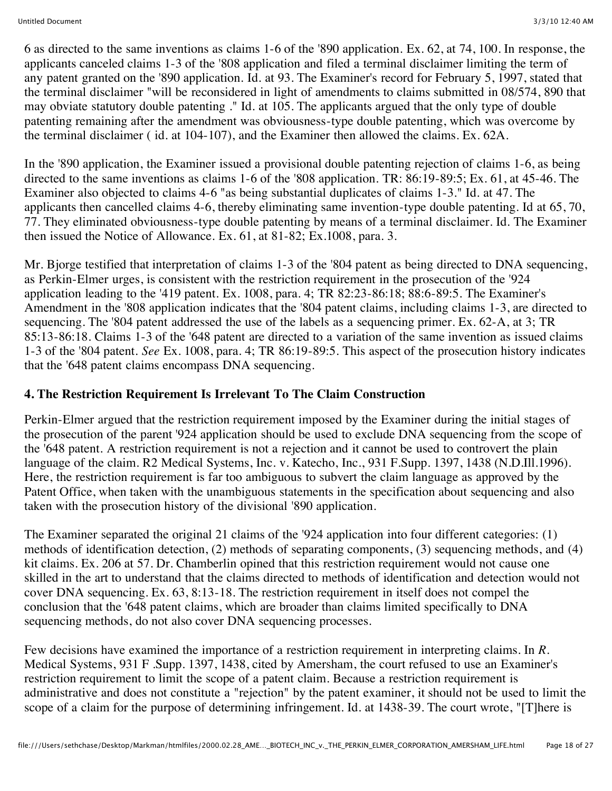6 as directed to the same inventions as claims 1-6 of the '890 application. Ex. 62, at 74, 100. In response, the applicants canceled claims 1-3 of the '808 application and filed a terminal disclaimer limiting the term of any patent granted on the '890 application. Id. at 93. The Examiner's record for February 5, 1997, stated that the terminal disclaimer "will be reconsidered in light of amendments to claims submitted in 08/574, 890 that may obviate statutory double patenting ." Id. at 105. The applicants argued that the only type of double patenting remaining after the amendment was obviousness-type double patenting, which was overcome by the terminal disclaimer ( id. at 104-107), and the Examiner then allowed the claims. Ex. 62A.

In the '890 application, the Examiner issued a provisional double patenting rejection of claims 1-6, as being directed to the same inventions as claims 1-6 of the '808 application. TR: 86:19-89:5; Ex. 61, at 45-46. The Examiner also objected to claims 4-6 "as being substantial duplicates of claims 1-3." Id. at 47. The applicants then cancelled claims 4-6, thereby eliminating same invention-type double patenting. Id at 65, 70, 77. They eliminated obviousness-type double patenting by means of a terminal disclaimer. Id. The Examiner then issued the Notice of Allowance. Ex. 61, at 81-82; Ex.1008, para. 3.

Mr. Bjorge testified that interpretation of claims 1-3 of the '804 patent as being directed to DNA sequencing, as Perkin-Elmer urges, is consistent with the restriction requirement in the prosecution of the '924 application leading to the '419 patent. Ex. 1008, para. 4; TR 82:23-86:18; 88:6-89:5. The Examiner's Amendment in the '808 application indicates that the '804 patent claims, including claims 1-3, are directed to sequencing. The '804 patent addressed the use of the labels as a sequencing primer. Ex. 62-A, at 3; TR 85:13-86:18. Claims 1-3 of the '648 patent are directed to a variation of the same invention as issued claims 1-3 of the '804 patent. *See* Ex. 1008, para. 4; TR 86:19-89:5. This aspect of the prosecution history indicates that the '648 patent claims encompass DNA sequencing.

# **4. The Restriction Requirement Is Irrelevant To The Claim Construction**

Perkin-Elmer argued that the restriction requirement imposed by the Examiner during the initial stages of the prosecution of the parent '924 application should be used to exclude DNA sequencing from the scope of the '648 patent. A restriction requirement is not a rejection and it cannot be used to controvert the plain language of the claim. R2 Medical Systems, Inc. v. Katecho, Inc., 931 F.Supp. 1397, 1438 (N.D.Ill.1996). Here, the restriction requirement is far too ambiguous to subvert the claim language as approved by the Patent Office, when taken with the unambiguous statements in the specification about sequencing and also taken with the prosecution history of the divisional '890 application.

The Examiner separated the original 21 claims of the '924 application into four different categories: (1) methods of identification detection, (2) methods of separating components, (3) sequencing methods, and (4) kit claims. Ex. 206 at 57. Dr. Chamberlin opined that this restriction requirement would not cause one skilled in the art to understand that the claims directed to methods of identification and detection would not cover DNA sequencing. Ex. 63, 8:13-18. The restriction requirement in itself does not compel the conclusion that the '648 patent claims, which are broader than claims limited specifically to DNA sequencing methods, do not also cover DNA sequencing processes.

Few decisions have examined the importance of a restriction requirement in interpreting claims. In *R.* Medical Systems, 931 F .Supp. 1397, 1438, cited by Amersham, the court refused to use an Examiner's restriction requirement to limit the scope of a patent claim. Because a restriction requirement is administrative and does not constitute a "rejection" by the patent examiner, it should not be used to limit the scope of a claim for the purpose of determining infringement. Id. at 1438-39. The court wrote, "[T]here is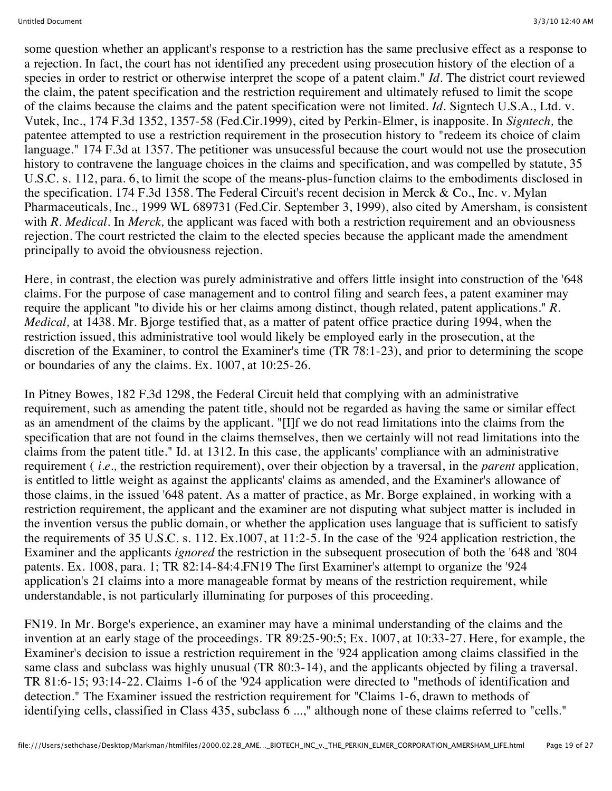some question whether an applicant's response to a restriction has the same preclusive effect as a response to a rejection. In fact, the court has not identified any precedent using prosecution history of the election of a species in order to restrict or otherwise interpret the scope of a patent claim." *Id.* The district court reviewed the claim, the patent specification and the restriction requirement and ultimately refused to limit the scope of the claims because the claims and the patent specification were not limited. *Id.* Signtech U.S.A., Ltd. v. Vutek, Inc., 174 F.3d 1352, 1357-58 (Fed.Cir.1999), cited by Perkin-Elmer, is inapposite. In *Signtech,* the patentee attempted to use a restriction requirement in the prosecution history to "redeem its choice of claim language." 174 F.3d at 1357. The petitioner was unsucessful because the court would not use the prosecution history to contravene the language choices in the claims and specification, and was compelled by statute, 35 U.S.C. s. 112, para. 6, to limit the scope of the means-plus-function claims to the embodiments disclosed in the specification. 174 F.3d 1358. The Federal Circuit's recent decision in Merck & Co., Inc. v. Mylan Pharmaceuticals, Inc., 1999 WL 689731 (Fed.Cir. September 3, 1999), also cited by Amersham, is consistent with *R. Medical*. In *Merck*, the applicant was faced with both a restriction requirement and an obviousness rejection. The court restricted the claim to the elected species because the applicant made the amendment principally to avoid the obviousness rejection.

Here, in contrast, the election was purely administrative and offers little insight into construction of the '648 claims. For the purpose of case management and to control filing and search fees, a patent examiner may require the applicant "to divide his or her claims among distinct, though related, patent applications." *R. Medical,* at 1438. Mr. Bjorge testified that, as a matter of patent office practice during 1994, when the restriction issued, this administrative tool would likely be employed early in the prosecution, at the discretion of the Examiner, to control the Examiner's time (TR 78:1-23), and prior to determining the scope or boundaries of any the claims. Ex. 1007, at 10:25-26.

In Pitney Bowes, 182 F.3d 1298, the Federal Circuit held that complying with an administrative requirement, such as amending the patent title, should not be regarded as having the same or similar effect as an amendment of the claims by the applicant. "[I]f we do not read limitations into the claims from the specification that are not found in the claims themselves, then we certainly will not read limitations into the claims from the patent title." Id. at 1312. In this case, the applicants' compliance with an administrative requirement ( *i.e.,* the restriction requirement), over their objection by a traversal, in the *parent* application, is entitled to little weight as against the applicants' claims as amended, and the Examiner's allowance of those claims, in the issued '648 patent. As a matter of practice, as Mr. Borge explained, in working with a restriction requirement, the applicant and the examiner are not disputing what subject matter is included in the invention versus the public domain, or whether the application uses language that is sufficient to satisfy the requirements of 35 U.S.C. s. 112. Ex.1007, at 11:2-5. In the case of the '924 application restriction, the Examiner and the applicants *ignored* the restriction in the subsequent prosecution of both the '648 and '804 patents. Ex. 1008, para. 1; TR 82:14-84:4.FN19 The first Examiner's attempt to organize the '924 application's 21 claims into a more manageable format by means of the restriction requirement, while understandable, is not particularly illuminating for purposes of this proceeding.

FN19. In Mr. Borge's experience, an examiner may have a minimal understanding of the claims and the invention at an early stage of the proceedings. TR 89:25-90:5; Ex. 1007, at 10:33-27. Here, for example, the Examiner's decision to issue a restriction requirement in the '924 application among claims classified in the same class and subclass was highly unusual (TR 80:3-14), and the applicants objected by filing a traversal. TR 81:6-15; 93:14-22. Claims 1-6 of the '924 application were directed to "methods of identification and detection." The Examiner issued the restriction requirement for "Claims 1-6, drawn to methods of identifying cells, classified in Class 435, subclass 6 ...," although none of these claims referred to "cells."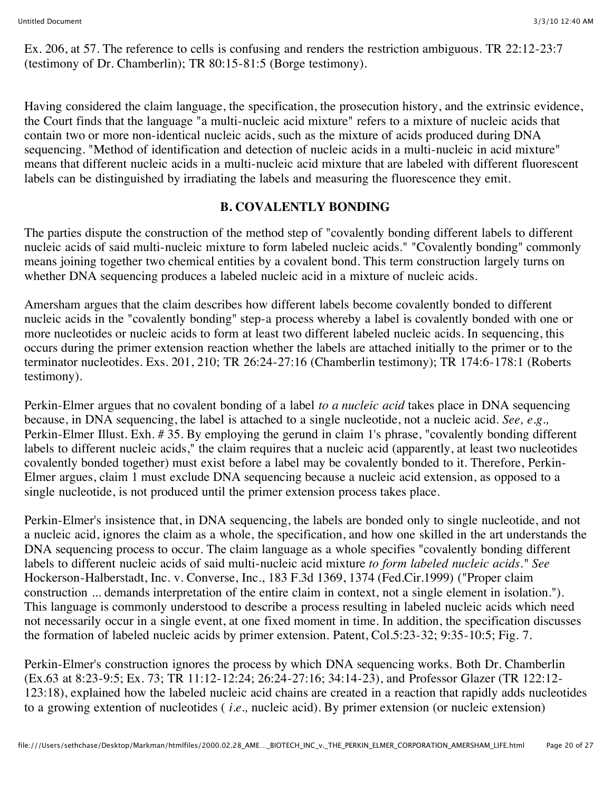Ex. 206, at 57. The reference to cells is confusing and renders the restriction ambiguous. TR 22:12-23:7 (testimony of Dr. Chamberlin); TR 80:15-81:5 (Borge testimony).

Having considered the claim language, the specification, the prosecution history, and the extrinsic evidence, the Court finds that the language "a multi-nucleic acid mixture" refers to a mixture of nucleic acids that contain two or more non-identical nucleic acids, such as the mixture of acids produced during DNA sequencing. "Method of identification and detection of nucleic acids in a multi-nucleic in acid mixture" means that different nucleic acids in a multi-nucleic acid mixture that are labeled with different fluorescent labels can be distinguished by irradiating the labels and measuring the fluorescence they emit.

# **B. COVALENTLY BONDING**

The parties dispute the construction of the method step of "covalently bonding different labels to different nucleic acids of said multi-nucleic mixture to form labeled nucleic acids." "Covalently bonding" commonly means joining together two chemical entities by a covalent bond. This term construction largely turns on whether DNA sequencing produces a labeled nucleic acid in a mixture of nucleic acids.

Amersham argues that the claim describes how different labels become covalently bonded to different nucleic acids in the "covalently bonding" step-a process whereby a label is covalently bonded with one or more nucleotides or nucleic acids to form at least two different labeled nucleic acids. In sequencing, this occurs during the primer extension reaction whether the labels are attached initially to the primer or to the terminator nucleotides. Exs. 201, 210; TR 26:24-27:16 (Chamberlin testimony); TR 174:6-178:1 (Roberts testimony).

Perkin-Elmer argues that no covalent bonding of a label *to a nucleic acid* takes place in DNA sequencing because, in DNA sequencing, the label is attached to a single nucleotide, not a nucleic acid. *See, e.g.,* Perkin-Elmer Illust. Exh. # 35. By employing the gerund in claim 1's phrase, "covalently bonding different labels to different nucleic acids," the claim requires that a nucleic acid (apparently, at least two nucleotides covalently bonded together) must exist before a label may be covalently bonded to it. Therefore, Perkin-Elmer argues, claim 1 must exclude DNA sequencing because a nucleic acid extension, as opposed to a single nucleotide, is not produced until the primer extension process takes place.

Perkin-Elmer's insistence that, in DNA sequencing, the labels are bonded only to single nucleotide, and not a nucleic acid, ignores the claim as a whole, the specification, and how one skilled in the art understands the DNA sequencing process to occur. The claim language as a whole specifies "covalently bonding different labels to different nucleic acids of said multi-nucleic acid mixture *to form labeled nucleic acids." See* Hockerson-Halberstadt, Inc. v. Converse, Inc., 183 F.3d 1369, 1374 (Fed.Cir.1999) ("Proper claim construction ... demands interpretation of the entire claim in context, not a single element in isolation."). This language is commonly understood to describe a process resulting in labeled nucleic acids which need not necessarily occur in a single event, at one fixed moment in time. In addition, the specification discusses the formation of labeled nucleic acids by primer extension. Patent, Col.5:23-32; 9:35-10:5; Fig. 7.

Perkin-Elmer's construction ignores the process by which DNA sequencing works. Both Dr. Chamberlin (Ex.63 at 8:23-9:5; Ex. 73; TR 11:12-12:24; 26:24-27:16; 34:14-23), and Professor Glazer (TR 122:12- 123:18), explained how the labeled nucleic acid chains are created in a reaction that rapidly adds nucleotides to a growing extention of nucleotides ( *i.e.,* nucleic acid). By primer extension (or nucleic extension)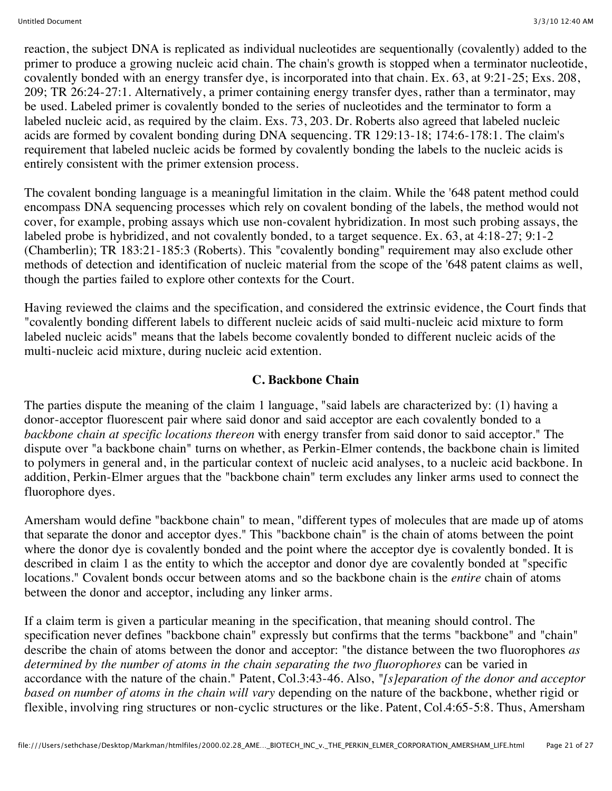reaction, the subject DNA is replicated as individual nucleotides are sequentionally (covalently) added to the primer to produce a growing nucleic acid chain. The chain's growth is stopped when a terminator nucleotide, covalently bonded with an energy transfer dye, is incorporated into that chain. Ex. 63, at 9:21-25; Exs. 208, 209; TR 26:24-27:1. Alternatively, a primer containing energy transfer dyes, rather than a terminator, may be used. Labeled primer is covalently bonded to the series of nucleotides and the terminator to form a labeled nucleic acid, as required by the claim. Exs. 73, 203. Dr. Roberts also agreed that labeled nucleic acids are formed by covalent bonding during DNA sequencing. TR 129:13-18; 174:6-178:1. The claim's requirement that labeled nucleic acids be formed by covalently bonding the labels to the nucleic acids is entirely consistent with the primer extension process.

The covalent bonding language is a meaningful limitation in the claim. While the '648 patent method could encompass DNA sequencing processes which rely on covalent bonding of the labels, the method would not cover, for example, probing assays which use non-covalent hybridization. In most such probing assays, the labeled probe is hybridized, and not covalently bonded, to a target sequence. Ex. 63, at 4:18-27; 9:1-2 (Chamberlin); TR 183:21-185:3 (Roberts). This "covalently bonding" requirement may also exclude other methods of detection and identification of nucleic material from the scope of the '648 patent claims as well, though the parties failed to explore other contexts for the Court.

Having reviewed the claims and the specification, and considered the extrinsic evidence, the Court finds that "covalently bonding different labels to different nucleic acids of said multi-nucleic acid mixture to form labeled nucleic acids" means that the labels become covalently bonded to different nucleic acids of the multi-nucleic acid mixture, during nucleic acid extention.

### **C. Backbone Chain**

The parties dispute the meaning of the claim 1 language, "said labels are characterized by: (1) having a donor-acceptor fluorescent pair where said donor and said acceptor are each covalently bonded to a *backbone chain at specific locations thereon* with energy transfer from said donor to said acceptor." The dispute over "a backbone chain" turns on whether, as Perkin-Elmer contends, the backbone chain is limited to polymers in general and, in the particular context of nucleic acid analyses, to a nucleic acid backbone. In addition, Perkin-Elmer argues that the "backbone chain" term excludes any linker arms used to connect the fluorophore dyes.

Amersham would define "backbone chain" to mean, "different types of molecules that are made up of atoms that separate the donor and acceptor dyes." This "backbone chain" is the chain of atoms between the point where the donor dye is covalently bonded and the point where the acceptor dye is covalently bonded. It is described in claim 1 as the entity to which the acceptor and donor dye are covalently bonded at "specific locations." Covalent bonds occur between atoms and so the backbone chain is the *entire* chain of atoms between the donor and acceptor, including any linker arms.

If a claim term is given a particular meaning in the specification, that meaning should control. The specification never defines "backbone chain" expressly but confirms that the terms "backbone" and "chain" describe the chain of atoms between the donor and acceptor: "the distance between the two fluorophores *as determined by the number of atoms in the chain separating the two fluorophores* can be varied in accordance with the nature of the chain." Patent, Col.3:43-46. Also, *"[s]eparation of the donor and acceptor based on number of atoms in the chain will vary* depending on the nature of the backbone, whether rigid or flexible, involving ring structures or non-cyclic structures or the like. Patent, Col.4:65-5:8. Thus, Amersham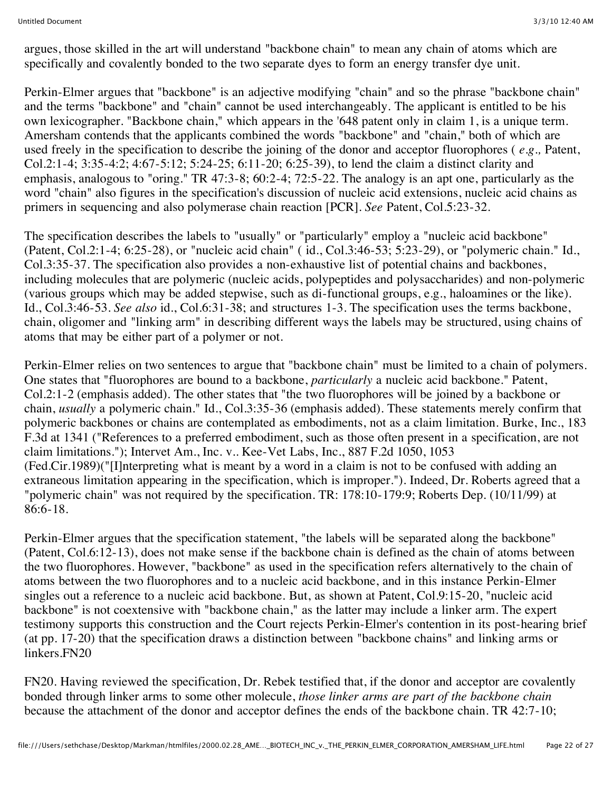argues, those skilled in the art will understand "backbone chain" to mean any chain of atoms which are specifically and covalently bonded to the two separate dyes to form an energy transfer dye unit.

Perkin-Elmer argues that "backbone" is an adjective modifying "chain" and so the phrase "backbone chain" and the terms "backbone" and "chain" cannot be used interchangeably. The applicant is entitled to be his own lexicographer. "Backbone chain," which appears in the '648 patent only in claim 1, is a unique term. Amersham contends that the applicants combined the words "backbone" and "chain," both of which are used freely in the specification to describe the joining of the donor and acceptor fluorophores ( *e.g.,* Patent, Col.2:1-4; 3:35-4:2; 4:67-5:12; 5:24-25; 6:11-20; 6:25-39), to lend the claim a distinct clarity and emphasis, analogous to "oring." TR 47:3-8; 60:2-4; 72:5-22. The analogy is an apt one, particularly as the word "chain" also figures in the specification's discussion of nucleic acid extensions, nucleic acid chains as primers in sequencing and also polymerase chain reaction [PCR]. *See* Patent, Col.5:23-32.

The specification describes the labels to "usually" or "particularly" employ a "nucleic acid backbone" (Patent, Col.2:1-4; 6:25-28), or "nucleic acid chain" ( id., Col.3:46-53; 5:23-29), or "polymeric chain." Id., Col.3:35-37. The specification also provides a non-exhaustive list of potential chains and backbones, including molecules that are polymeric (nucleic acids, polypeptides and polysaccharides) and non-polymeric (various groups which may be added stepwise, such as di-functional groups, e.g., haloamines or the like). Id., Col.3:46-53. *See also* id., Col.6:31-38; and structures 1-3. The specification uses the terms backbone, chain, oligomer and "linking arm" in describing different ways the labels may be structured, using chains of atoms that may be either part of a polymer or not.

Perkin-Elmer relies on two sentences to argue that "backbone chain" must be limited to a chain of polymers. One states that "fluorophores are bound to a backbone, *particularly* a nucleic acid backbone." Patent, Col.2:1-2 (emphasis added). The other states that "the two fluorophores will be joined by a backbone or chain, *usually* a polymeric chain." Id., Col.3:35-36 (emphasis added). These statements merely confirm that polymeric backbones or chains are contemplated as embodiments, not as a claim limitation. Burke, Inc., 183 F.3d at 1341 ("References to a preferred embodiment, such as those often present in a specification, are not claim limitations."); Intervet Am., Inc. v.. Kee-Vet Labs, Inc., 887 F.2d 1050, 1053 (Fed.Cir.1989)("[I]nterpreting what is meant by a word in a claim is not to be confused with adding an extraneous limitation appearing in the specification, which is improper."). Indeed, Dr. Roberts agreed that a "polymeric chain" was not required by the specification. TR: 178:10-179:9; Roberts Dep. (10/11/99) at 86:6-18.

Perkin-Elmer argues that the specification statement, "the labels will be separated along the backbone" (Patent, Col.6:12-13), does not make sense if the backbone chain is defined as the chain of atoms between the two fluorophores. However, "backbone" as used in the specification refers alternatively to the chain of atoms between the two fluorophores and to a nucleic acid backbone, and in this instance Perkin-Elmer singles out a reference to a nucleic acid backbone. But, as shown at Patent, Col.9:15-20, "nucleic acid backbone" is not coextensive with "backbone chain," as the latter may include a linker arm. The expert testimony supports this construction and the Court rejects Perkin-Elmer's contention in its post-hearing brief (at pp. 17-20) that the specification draws a distinction between "backbone chains" and linking arms or linkers.FN20

FN20. Having reviewed the specification, Dr. Rebek testified that, if the donor and acceptor are covalently bonded through linker arms to some other molecule, *those linker arms are part of the backbone chain* because the attachment of the donor and acceptor defines the ends of the backbone chain. TR 42:7-10;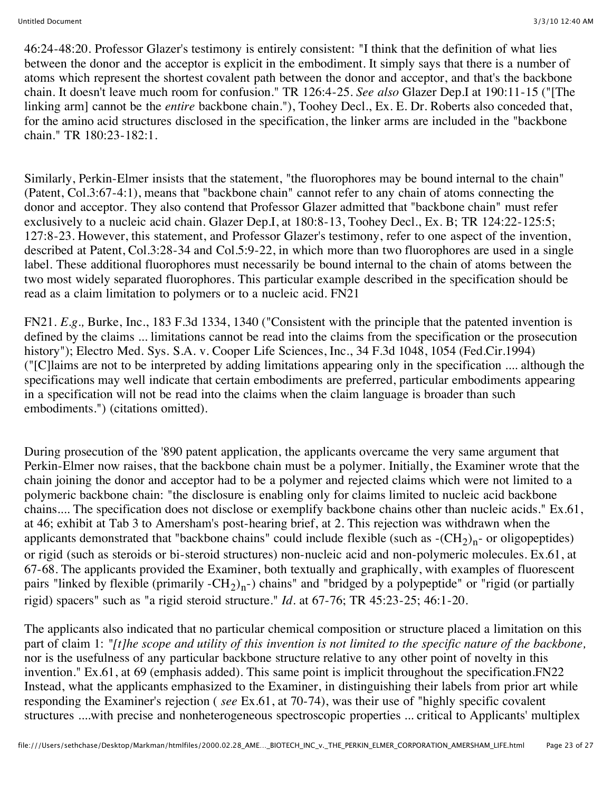46:24-48:20. Professor Glazer's testimony is entirely consistent: "I think that the definition of what lies between the donor and the acceptor is explicit in the embodiment. It simply says that there is a number of atoms which represent the shortest covalent path between the donor and acceptor, and that's the backbone chain. It doesn't leave much room for confusion." TR 126:4-25. *See also* Glazer Dep.I at 190:11-15 ("[The linking arm] cannot be the *entire* backbone chain."), Toohey Decl., Ex. E. Dr. Roberts also conceded that, for the amino acid structures disclosed in the specification, the linker arms are included in the "backbone chain." TR 180:23-182:1.

Similarly, Perkin-Elmer insists that the statement, "the fluorophores may be bound internal to the chain" (Patent, Col.3:67-4:1), means that "backbone chain" cannot refer to any chain of atoms connecting the donor and acceptor. They also contend that Professor Glazer admitted that "backbone chain" must refer exclusively to a nucleic acid chain. Glazer Dep.I, at 180:8-13, Toohey Decl., Ex. B; TR 124:22-125:5; 127:8-23. However, this statement, and Professor Glazer's testimony, refer to one aspect of the invention, described at Patent, Col.3:28-34 and Col.5:9-22, in which more than two fluorophores are used in a single label. These additional fluorophores must necessarily be bound internal to the chain of atoms between the two most widely separated fluorophores. This particular example described in the specification should be read as a claim limitation to polymers or to a nucleic acid. FN21

FN21. *E.g.,* Burke, Inc., 183 F.3d 1334, 1340 ("Consistent with the principle that the patented invention is defined by the claims ... limitations cannot be read into the claims from the specification or the prosecution history"); Electro Med. Sys. S.A. v. Cooper Life Sciences, Inc., 34 F.3d 1048, 1054 (Fed.Cir.1994) ("[C]laims are not to be interpreted by adding limitations appearing only in the specification .... although the specifications may well indicate that certain embodiments are preferred, particular embodiments appearing in a specification will not be read into the claims when the claim language is broader than such embodiments.") (citations omitted).

During prosecution of the '890 patent application, the applicants overcame the very same argument that Perkin-Elmer now raises, that the backbone chain must be a polymer. Initially, the Examiner wrote that the chain joining the donor and acceptor had to be a polymer and rejected claims which were not limited to a polymeric backbone chain: "the disclosure is enabling only for claims limited to nucleic acid backbone chains.... The specification does not disclose or exemplify backbone chains other than nucleic acids." Ex.61, at 46; exhibit at Tab 3 to Amersham's post-hearing brief, at 2. This rejection was withdrawn when the applicants demonstrated that "backbone chains" could include flexible (such as  $-(CH<sub>2</sub>)<sub>n</sub>$ - or oligopeptides) or rigid (such as steroids or bi-steroid structures) non-nucleic acid and non-polymeric molecules. Ex.61, at 67-68. The applicants provided the Examiner, both textually and graphically, with examples of fluorescent pairs "linked by flexible (primarily -CH<sub>2</sub>)<sub>n</sub>-) chains" and "bridged by a polypeptide" or "rigid (or partially rigid) spacers" such as "a rigid steroid structure." *Id.* at 67-76; TR 45:23-25; 46:1-20.

The applicants also indicated that no particular chemical composition or structure placed a limitation on this part of claim 1: *"[t]he scope and utility of this invention is not limited to the specific nature of the backbone,* nor is the usefulness of any particular backbone structure relative to any other point of novelty in this invention." Ex.61, at 69 (emphasis added). This same point is implicit throughout the specification.FN22 Instead, what the applicants emphasized to the Examiner, in distinguishing their labels from prior art while responding the Examiner's rejection ( *see* Ex.61, at 70-74), was their use of "highly specific covalent structures ....with precise and nonheterogeneous spectroscopic properties ... critical to Applicants' multiplex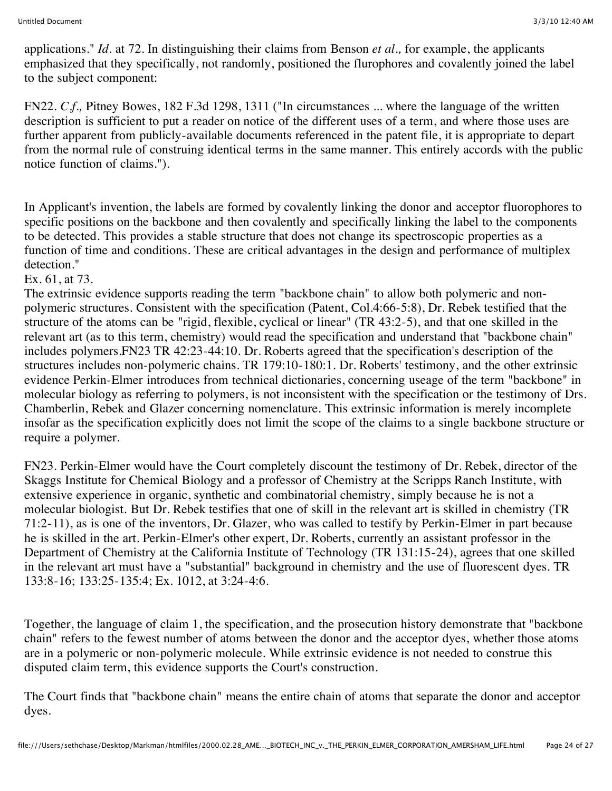applications." *Id.* at 72. In distinguishing their claims from Benson *et al.,* for example, the applicants emphasized that they specifically, not randomly, positioned the flurophores and covalently joined the label to the subject component:

FN22. *C.f.,* Pitney Bowes, 182 F.3d 1298, 1311 ("In circumstances ... where the language of the written description is sufficient to put a reader on notice of the different uses of a term, and where those uses are further apparent from publicly-available documents referenced in the patent file, it is appropriate to depart from the normal rule of construing identical terms in the same manner. This entirely accords with the public notice function of claims.").

In Applicant's invention, the labels are formed by covalently linking the donor and acceptor fluorophores to specific positions on the backbone and then covalently and specifically linking the label to the components to be detected. This provides a stable structure that does not change its spectroscopic properties as a function of time and conditions. These are critical advantages in the design and performance of multiplex detection."

### Ex. 61, at 73.

The extrinsic evidence supports reading the term "backbone chain" to allow both polymeric and nonpolymeric structures. Consistent with the specification (Patent, Col.4:66-5:8), Dr. Rebek testified that the structure of the atoms can be "rigid, flexible, cyclical or linear" (TR 43:2-5), and that one skilled in the relevant art (as to this term, chemistry) would read the specification and understand that "backbone chain" includes polymers.FN23 TR 42:23-44:10. Dr. Roberts agreed that the specification's description of the structures includes non-polymeric chains. TR 179:10-180:1. Dr. Roberts' testimony, and the other extrinsic evidence Perkin-Elmer introduces from technical dictionaries, concerning useage of the term "backbone" in molecular biology as referring to polymers, is not inconsistent with the specification or the testimony of Drs. Chamberlin, Rebek and Glazer concerning nomenclature. This extrinsic information is merely incomplete insofar as the specification explicitly does not limit the scope of the claims to a single backbone structure or require a polymer.

FN23. Perkin-Elmer would have the Court completely discount the testimony of Dr. Rebek, director of the Skaggs Institute for Chemical Biology and a professor of Chemistry at the Scripps Ranch Institute, with extensive experience in organic, synthetic and combinatorial chemistry, simply because he is not a molecular biologist. But Dr. Rebek testifies that one of skill in the relevant art is skilled in chemistry (TR 71:2-11), as is one of the inventors, Dr. Glazer, who was called to testify by Perkin-Elmer in part because he is skilled in the art. Perkin-Elmer's other expert, Dr. Roberts, currently an assistant professor in the Department of Chemistry at the California Institute of Technology (TR 131:15-24), agrees that one skilled in the relevant art must have a "substantial" background in chemistry and the use of fluorescent dyes. TR 133:8-16; 133:25-135:4; Ex. 1012, at 3:24-4:6.

Together, the language of claim 1, the specification, and the prosecution history demonstrate that "backbone chain" refers to the fewest number of atoms between the donor and the acceptor dyes, whether those atoms are in a polymeric or non-polymeric molecule. While extrinsic evidence is not needed to construe this disputed claim term, this evidence supports the Court's construction.

The Court finds that "backbone chain" means the entire chain of atoms that separate the donor and acceptor dyes.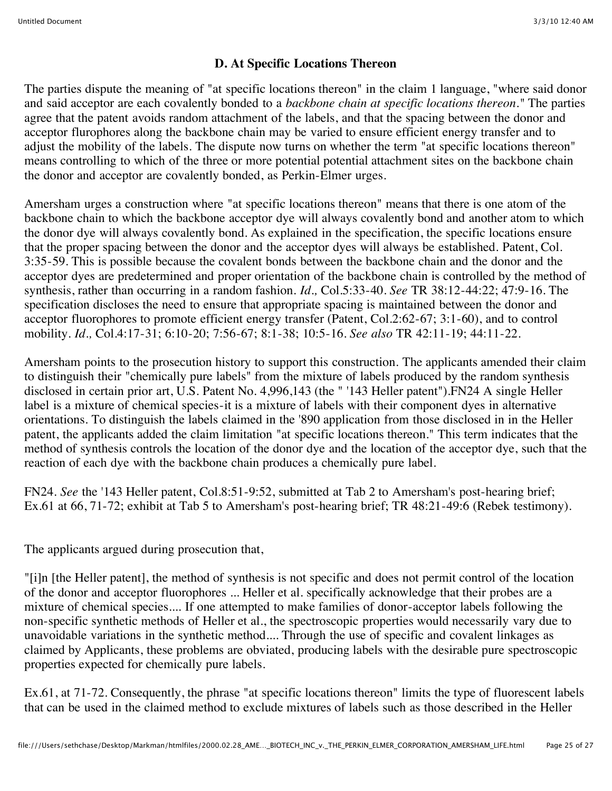## **D. At Specific Locations Thereon**

The parties dispute the meaning of "at specific locations thereon" in the claim 1 language, "where said donor and said acceptor are each covalently bonded to a *backbone chain at specific locations thereon."* The parties agree that the patent avoids random attachment of the labels, and that the spacing between the donor and acceptor flurophores along the backbone chain may be varied to ensure efficient energy transfer and to adjust the mobility of the labels. The dispute now turns on whether the term "at specific locations thereon" means controlling to which of the three or more potential potential attachment sites on the backbone chain the donor and acceptor are covalently bonded, as Perkin-Elmer urges.

Amersham urges a construction where "at specific locations thereon" means that there is one atom of the backbone chain to which the backbone acceptor dye will always covalently bond and another atom to which the donor dye will always covalently bond. As explained in the specification, the specific locations ensure that the proper spacing between the donor and the acceptor dyes will always be established. Patent, Col. 3:35-59. This is possible because the covalent bonds between the backbone chain and the donor and the acceptor dyes are predetermined and proper orientation of the backbone chain is controlled by the method of synthesis, rather than occurring in a random fashion. *Id.,* Col.5:33-40. *See* TR 38:12-44:22; 47:9-16. The specification discloses the need to ensure that appropriate spacing is maintained between the donor and acceptor fluorophores to promote efficient energy transfer (Patent, Col.2:62-67; 3:1-60), and to control mobility. *Id.,* Col.4:17-31; 6:10-20; 7:56-67; 8:1-38; 10:5-16. *See also* TR 42:11-19; 44:11-22.

Amersham points to the prosecution history to support this construction. The applicants amended their claim to distinguish their "chemically pure labels" from the mixture of labels produced by the random synthesis disclosed in certain prior art, U.S. Patent No. 4,996,143 (the " '143 Heller patent").FN24 A single Heller label is a mixture of chemical species-it is a mixture of labels with their component dyes in alternative orientations. To distinguish the labels claimed in the '890 application from those disclosed in in the Heller patent, the applicants added the claim limitation "at specific locations thereon." This term indicates that the method of synthesis controls the location of the donor dye and the location of the acceptor dye, such that the reaction of each dye with the backbone chain produces a chemically pure label.

FN24. *See* the '143 Heller patent, Col.8:51-9:52, submitted at Tab 2 to Amersham's post-hearing brief; Ex.61 at 66, 71-72; exhibit at Tab 5 to Amersham's post-hearing brief; TR 48:21-49:6 (Rebek testimony).

The applicants argued during prosecution that,

"[i]n [the Heller patent], the method of synthesis is not specific and does not permit control of the location of the donor and acceptor fluorophores ... Heller et al. specifically acknowledge that their probes are a mixture of chemical species.... If one attempted to make families of donor-acceptor labels following the non-specific synthetic methods of Heller et al., the spectroscopic properties would necessarily vary due to unavoidable variations in the synthetic method.... Through the use of specific and covalent linkages as claimed by Applicants, these problems are obviated, producing labels with the desirable pure spectroscopic properties expected for chemically pure labels.

Ex.61, at 71-72. Consequently, the phrase "at specific locations thereon" limits the type of fluorescent labels that can be used in the claimed method to exclude mixtures of labels such as those described in the Heller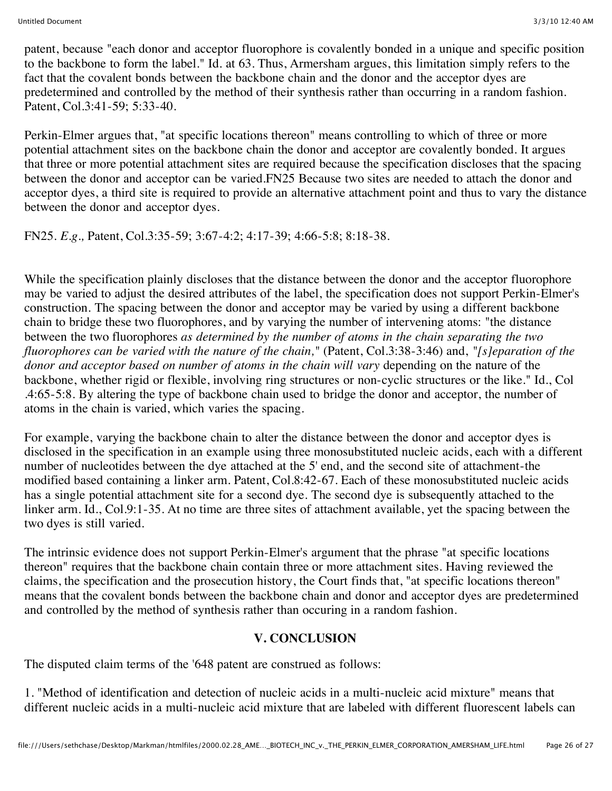patent, because "each donor and acceptor fluorophore is covalently bonded in a unique and specific position to the backbone to form the label." Id. at 63. Thus, Armersham argues, this limitation simply refers to the fact that the covalent bonds between the backbone chain and the donor and the acceptor dyes are predetermined and controlled by the method of their synthesis rather than occurring in a random fashion. Patent, Col.3:41-59; 5:33-40.

Perkin-Elmer argues that, "at specific locations thereon" means controlling to which of three or more potential attachment sites on the backbone chain the donor and acceptor are covalently bonded. It argues that three or more potential attachment sites are required because the specification discloses that the spacing between the donor and acceptor can be varied.FN25 Because two sites are needed to attach the donor and acceptor dyes, a third site is required to provide an alternative attachment point and thus to vary the distance between the donor and acceptor dyes.

FN25. *E.g.,* Patent, Col.3:35-59; 3:67-4:2; 4:17-39; 4:66-5:8; 8:18-38.

While the specification plainly discloses that the distance between the donor and the acceptor fluorophore may be varied to adjust the desired attributes of the label, the specification does not support Perkin-Elmer's construction. The spacing between the donor and acceptor may be varied by using a different backbone chain to bridge these two fluorophores, and by varying the number of intervening atoms: "the distance between the two fluorophores *as determined by the number of atoms in the chain separating the two fluorophores can be varied with the nature of the chain,"* (Patent, Col.3:38-3:46) and, *"[s]eparation of the donor and acceptor based on number of atoms in the chain will vary* depending on the nature of the backbone, whether rigid or flexible, involving ring structures or non-cyclic structures or the like." Id., Col .4:65-5:8. By altering the type of backbone chain used to bridge the donor and acceptor, the number of atoms in the chain is varied, which varies the spacing.

For example, varying the backbone chain to alter the distance between the donor and acceptor dyes is disclosed in the specification in an example using three monosubstituted nucleic acids, each with a different number of nucleotides between the dye attached at the 5' end, and the second site of attachment-the modified based containing a linker arm. Patent, Col.8:42-67. Each of these monosubstituted nucleic acids has a single potential attachment site for a second dye. The second dye is subsequently attached to the linker arm. Id., Col.9:1-35. At no time are three sites of attachment available, yet the spacing between the two dyes is still varied.

The intrinsic evidence does not support Perkin-Elmer's argument that the phrase "at specific locations thereon" requires that the backbone chain contain three or more attachment sites. Having reviewed the claims, the specification and the prosecution history, the Court finds that, "at specific locations thereon" means that the covalent bonds between the backbone chain and donor and acceptor dyes are predetermined and controlled by the method of synthesis rather than occuring in a random fashion.

### **V. CONCLUSION**

The disputed claim terms of the '648 patent are construed as follows:

1. "Method of identification and detection of nucleic acids in a multi-nucleic acid mixture" means that different nucleic acids in a multi-nucleic acid mixture that are labeled with different fluorescent labels can